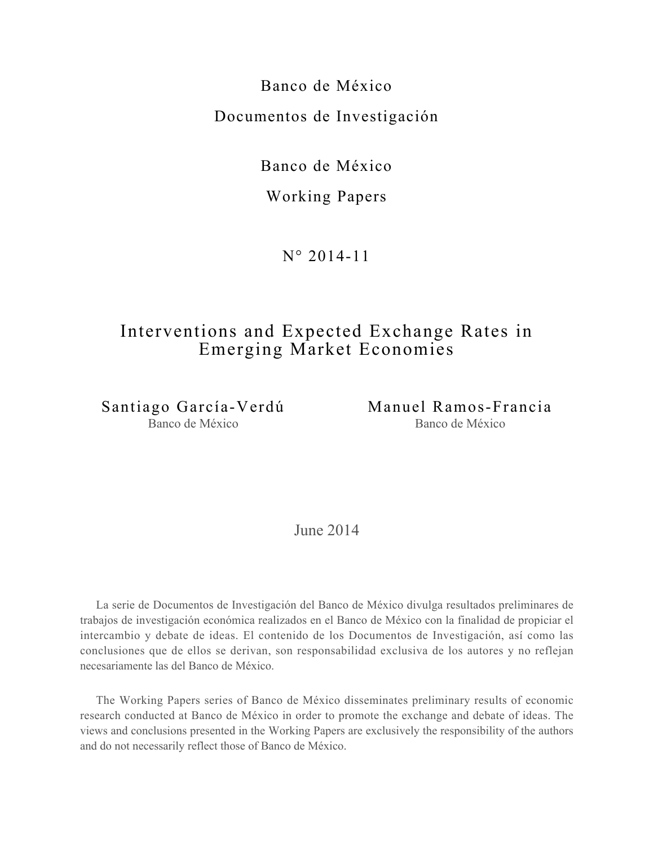Banco de México Documentos de Investigación

Banco de México

# Working Papers

N° 2014-11

# Interventions and Expected Exchange Rates in Emerging Market Economies

Santiago García-Verdú Banco de México

Manuel Ramos-Francia Banco de México

June 2014

La serie de Documentos de Investigación del Banco de México divulga resultados preliminares de trabajos de investigación económica realizados en el Banco de México con la finalidad de propiciar el intercambio y debate de ideas. El contenido de los Documentos de Investigación, así como las conclusiones que de ellos se derivan, son responsabilidad exclusiva de los autores y no reflejan necesariamente las del Banco de México.

The Working Papers series of Banco de México disseminates preliminary results of economic research conducted at Banco de México in order to promote the exchange and debate of ideas. The views and conclusions presented in the Working Papers are exclusively the responsibility of the authors and do not necessarily reflect those of Banco de México.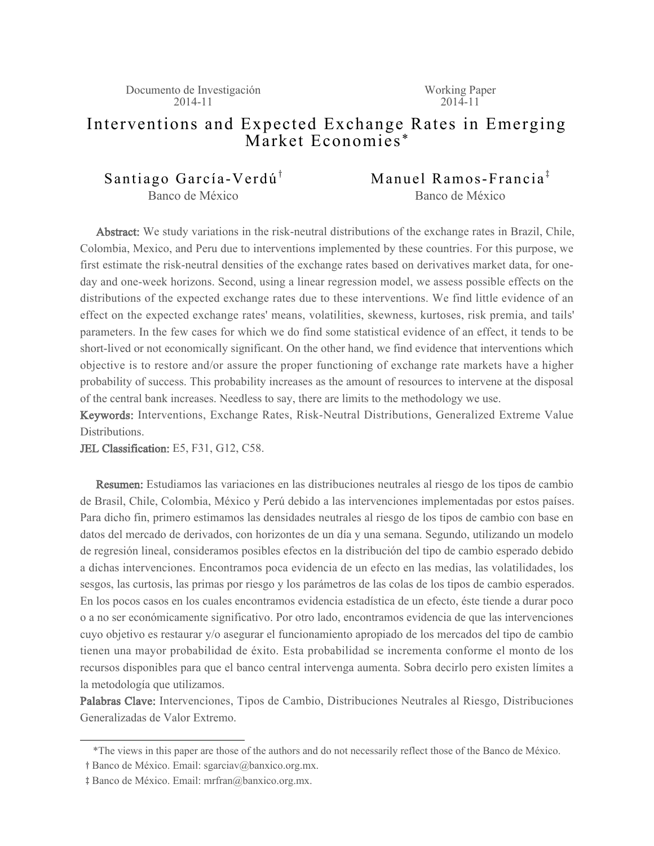Working Paper  $2014 - 11$ 

# Interventions and Expected Exchange Rates in Emerging Market Economies \*

Santiago García-Verdú<sup>†</sup> Banco de México

Manuel Ramos-Francia<sup> $\ddag$ </sup> Banco de México

Abstract: We study variations in the risk-neutral distributions of the exchange rates in Brazil, Chile, Colombia, Mexico, and Peru due to interventions implemented by these countries. For this purpose, we first estimate the risk-neutral densities of the exchange rates based on derivatives market data, for oneday and one-week horizons. Second, using a linear regression model, we assess possible effects on the distributions of the expected exchange rates due to these interventions. We find little evidence of an effect on the expected exchange rates' means, volatilities, skewness, kurtoses, risk premia, and tails' parameters. In the few cases for which we do find some statistical evidence of an effect, it tends to be short-lived or not economically significant. On the other hand, we find evidence that interventions which objective is to restore and/or assure the proper functioning of exchange rate markets have a higher probability of success. This probability increases as the amount of resources to intervene at the disposal of the central bank increases. Needless to say, there are limits to the methodology we use.

Keywords: Interventions, Exchange Rates, Risk-Neutral Distributions, Generalized Extreme Value Distributions.

JEL Classification: E5, F31, G12, C58.

Resumen: Estudiamos las variaciones en las distribuciones neutrales al riesgo de los tipos de cambio de Brasil, Chile, Colombia, México y Perú debido a las intervenciones implementadas por estos países. Para dicho fin, primero estimamos las densidades neutrales al riesgo de los tipos de cambio con base en datos del mercado de derivados, con horizontes de un día y una semana. Segundo, utilizando un modelo de regresión lineal, consideramos posibles efectos en la distribución del tipo de cambio esperado debido a dichas intervenciones. Encontramos poca evidencia de un efecto en las medias, las volatilidades, los sesgos, las curtosis, las primas por riesgo y los parámetros de las colas de los tipos de cambio esperados. En los pocos casos en los cuales encontramos evidencia estadística de un efecto, éste tiende a durar poco o a no ser económicamente significativo. Por otro lado, encontramos evidencia de que las intervenciones cuyo objetivo es restaurar y/o asegurar el funcionamiento apropiado de los mercados del tipo de cambio tienen una mayor probabilidad de éxito. Esta probabilidad se incrementa conforme el monto de los recursos disponibles para que el banco central intervenga aumenta. Sobra decirlo pero existen límites a la metodología que utilizamos.

Palabras Clave: Intervenciones, Tipos de Cambio, Distribuciones Neutrales al Riesgo, Distribuciones Generalizadas de Valor Extremo.

 <sup>\*</sup>The views in this paper are those of the authors and do not necessarily reflect those of the Banco de México.

y Banco de México. Email: sgarciav@banxico.org.mx.

z Banco de México. Email: mrfran@banxico.org.mx.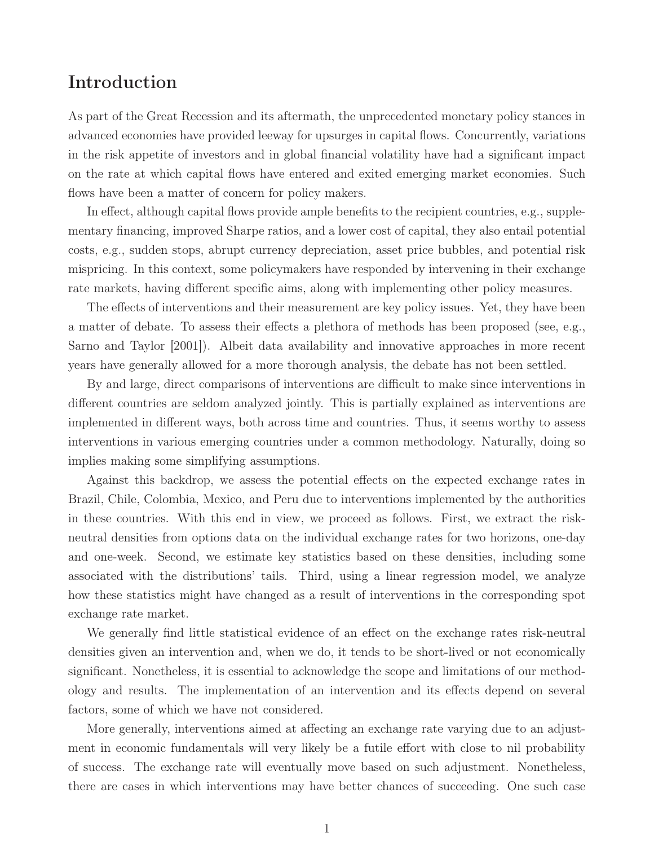# Introduction

As part of the Great Recession and its aftermath, the unprecedented monetary policy stances in advanced economies have provided leeway for upsurges in capital flows. Concurrently, variations in the risk appetite of investors and in global financial volatility have had a significant impact on the rate at which capital flows have entered and exited emerging market economies. Such flows have been a matter of concern for policy makers.

In effect, although capital flows provide ample benefits to the recipient countries, e.g., supplementary financing, improved Sharpe ratios, and a lower cost of capital, they also entail potential costs, e.g., sudden stops, abrupt currency depreciation, asset price bubbles, and potential risk mispricing. In this context, some policymakers have responded by intervening in their exchange rate markets, having different specific aims, along with implementing other policy measures.

The effects of interventions and their measurement are key policy issues. Yet, they have been a matter of debate. To assess their effects a plethora of methods has been proposed (see, e.g., Sarno and Taylor [2001]). Albeit data availability and innovative approaches in more recent years have generally allowed for a more thorough analysis, the debate has not been settled.

By and large, direct comparisons of interventions are difficult to make since interventions in different countries are seldom analyzed jointly. This is partially explained as interventions are implemented in different ways, both across time and countries. Thus, it seems worthy to assess interventions in various emerging countries under a common methodology. Naturally, doing so implies making some simplifying assumptions.

Against this backdrop, we assess the potential effects on the expected exchange rates in Brazil, Chile, Colombia, Mexico, and Peru due to interventions implemented by the authorities in these countries. With this end in view, we proceed as follows. First, we extract the riskneutral densities from options data on the individual exchange rates for two horizons, one-day and one-week. Second, we estimate key statistics based on these densities, including some associated with the distributions' tails. Third, using a linear regression model, we analyze how these statistics might have changed as a result of interventions in the corresponding spot exchange rate market.

We generally find little statistical evidence of an effect on the exchange rates risk-neutral densities given an intervention and, when we do, it tends to be short-lived or not economically significant. Nonetheless, it is essential to acknowledge the scope and limitations of our methodology and results. The implementation of an intervention and its effects depend on several factors, some of which we have not considered.

More generally, interventions aimed at affecting an exchange rate varying due to an adjustment in economic fundamentals will very likely be a futile effort with close to nil probability of success. The exchange rate will eventually move based on such adjustment. Nonetheless, there are cases in which interventions may have better chances of succeeding. One such case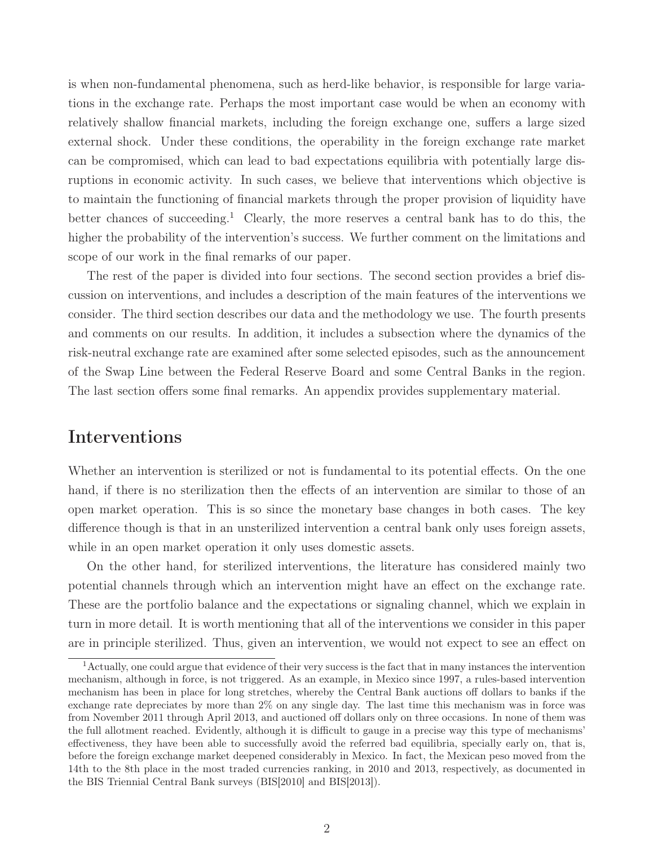is when non-fundamental phenomena, such as herd-like behavior, is responsible for large variations in the exchange rate. Perhaps the most important case would be when an economy with relatively shallow financial markets, including the foreign exchange one, suffers a large sized external shock. Under these conditions, the operability in the foreign exchange rate market can be compromised, which can lead to bad expectations equilibria with potentially large disruptions in economic activity. In such cases, we believe that interventions which objective is to maintain the functioning of financial markets through the proper provision of liquidity have better chances of succeeding.<sup>1</sup> Clearly, the more reserves a central bank has to do this, the higher the probability of the intervention's success. We further comment on the limitations and scope of our work in the final remarks of our paper.

The rest of the paper is divided into four sections. The second section provides a brief discussion on interventions, and includes a description of the main features of the interventions we consider. The third section describes our data and the methodology we use. The fourth presents and comments on our results. In addition, it includes a subsection where the dynamics of the risk-neutral exchange rate are examined after some selected episodes, such as the announcement of the Swap Line between the Federal Reserve Board and some Central Banks in the region. The last section offers some final remarks. An appendix provides supplementary material.

# Interventions

Whether an intervention is sterilized or not is fundamental to its potential effects. On the one hand, if there is no sterilization then the effects of an intervention are similar to those of an open market operation. This is so since the monetary base changes in both cases. The key difference though is that in an unsterilized intervention a central bank only uses foreign assets, while in an open market operation it only uses domestic assets.

On the other hand, for sterilized interventions, the literature has considered mainly two potential channels through which an intervention might have an effect on the exchange rate. These are the portfolio balance and the expectations or signaling channel, which we explain in turn in more detail. It is worth mentioning that all of the interventions we consider in this paper are in principle sterilized. Thus, given an intervention, we would not expect to see an effect on

<sup>1</sup>Actually, one could argue that evidence of their very success is the fact that in many instances the intervention mechanism, although in force, is not triggered. As an example, in Mexico since 1997, a rules-based intervention mechanism has been in place for long stretches, whereby the Central Bank auctions off dollars to banks if the exchange rate depreciates by more than 2% on any single day. The last time this mechanism was in force was from November 2011 through April 2013, and auctioned off dollars only on three occasions. In none of them was the full allotment reached. Evidently, although it is difficult to gauge in a precise way this type of mechanisms' effectiveness, they have been able to successfully avoid the referred bad equilibria, specially early on, that is, before the foreign exchange market deepened considerably in Mexico. In fact, the Mexican peso moved from the 14th to the 8th place in the most traded currencies ranking, in 2010 and 2013, respectively, as documented in the BIS Triennial Central Bank surveys (BIS[2010] and BIS[2013]).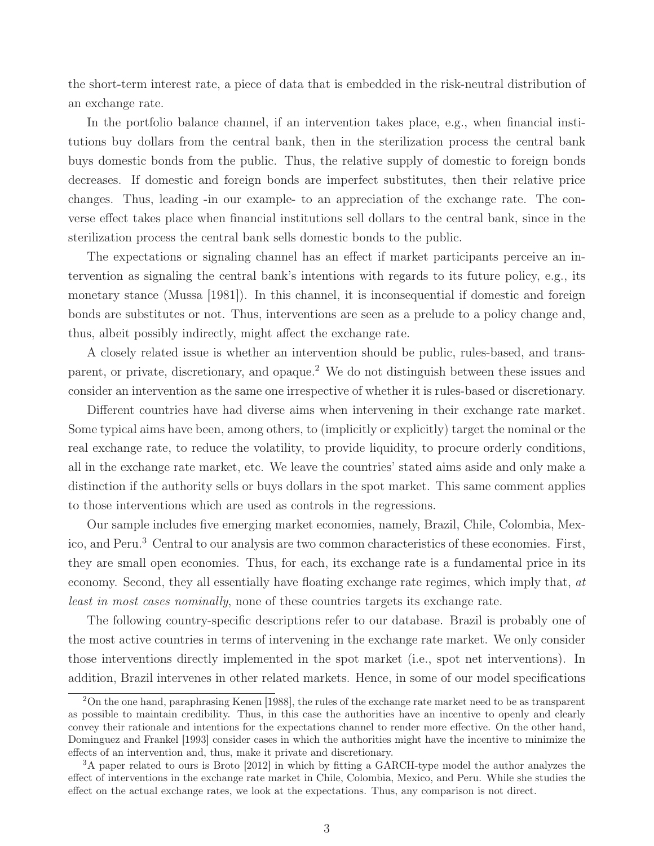the short-term interest rate, a piece of data that is embedded in the risk-neutral distribution of an exchange rate.

In the portfolio balance channel, if an intervention takes place, e.g., when financial institutions buy dollars from the central bank, then in the sterilization process the central bank buys domestic bonds from the public. Thus, the relative supply of domestic to foreign bonds decreases. If domestic and foreign bonds are imperfect substitutes, then their relative price changes. Thus, leading -in our example- to an appreciation of the exchange rate. The converse effect takes place when financial institutions sell dollars to the central bank, since in the sterilization process the central bank sells domestic bonds to the public.

The expectations or signaling channel has an effect if market participants perceive an intervention as signaling the central bank's intentions with regards to its future policy, e.g., its monetary stance (Mussa [1981]). In this channel, it is inconsequential if domestic and foreign bonds are substitutes or not. Thus, interventions are seen as a prelude to a policy change and, thus, albeit possibly indirectly, might affect the exchange rate.

A closely related issue is whether an intervention should be public, rules-based, and transparent, or private, discretionary, and opaque.<sup>2</sup> We do not distinguish between these issues and consider an intervention as the same one irrespective of whether it is rules-based or discretionary.

Different countries have had diverse aims when intervening in their exchange rate market. Some typical aims have been, among others, to (implicitly or explicitly) target the nominal or the real exchange rate, to reduce the volatility, to provide liquidity, to procure orderly conditions, all in the exchange rate market, etc. We leave the countries' stated aims aside and only make a distinction if the authority sells or buys dollars in the spot market. This same comment applies to those interventions which are used as controls in the regressions.

Our sample includes five emerging market economies, namely, Brazil, Chile, Colombia, Mexico, and Peru.<sup>3</sup> Central to our analysis are two common characteristics of these economies. First, they are small open economies. Thus, for each, its exchange rate is a fundamental price in its economy. Second, they all essentially have floating exchange rate regimes, which imply that, *at least in most cases nominally*, none of these countries targets its exchange rate.

The following country-specific descriptions refer to our database. Brazil is probably one of the most active countries in terms of intervening in the exchange rate market. We only consider those interventions directly implemented in the spot market (i.e., spot net interventions). In addition, Brazil intervenes in other related markets. Hence, in some of our model specifications

<sup>2</sup>On the one hand, paraphrasing Kenen [1988], the rules of the exchange rate market need to be as transparent as possible to maintain credibility. Thus, in this case the authorities have an incentive to openly and clearly convey their rationale and intentions for the expectations channel to render more effective. On the other hand, Dominguez and Frankel [1993] consider cases in which the authorities might have the incentive to minimize the effects of an intervention and, thus, make it private and discretionary.

<sup>&</sup>lt;sup>3</sup>A paper related to ours is Broto [2012] in which by fitting a GARCH-type model the author analyzes the effect of interventions in the exchange rate market in Chile, Colombia, Mexico, and Peru. While she studies the effect on the actual exchange rates, we look at the expectations. Thus, any comparison is not direct.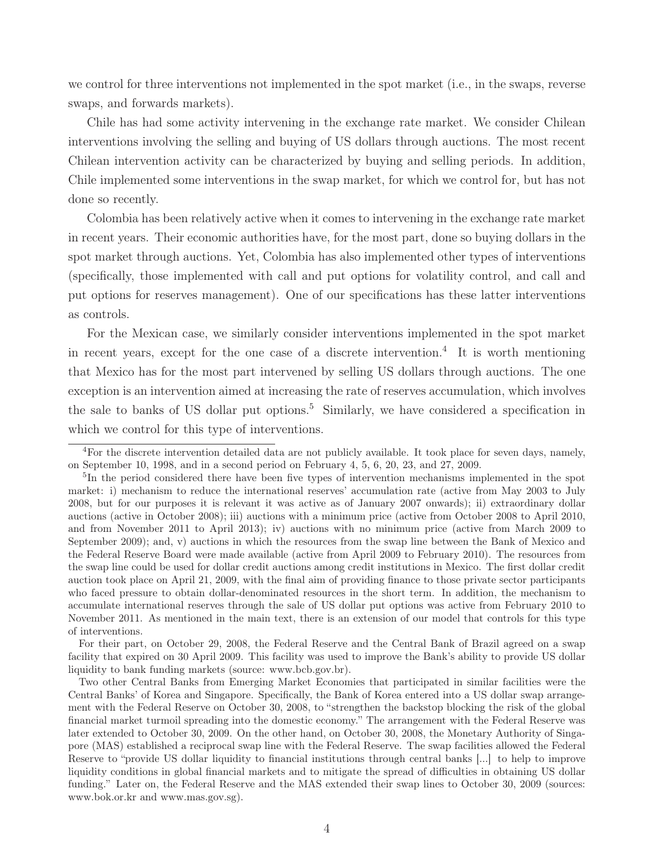we control for three interventions not implemented in the spot market (i.e., in the swaps, reverse swaps, and forwards markets).

Chile has had some activity intervening in the exchange rate market. We consider Chilean interventions involving the selling and buying of US dollars through auctions. The most recent Chilean intervention activity can be characterized by buying and selling periods. In addition, Chile implemented some interventions in the swap market, for which we control for, but has not done so recently.

Colombia has been relatively active when it comes to intervening in the exchange rate market in recent years. Their economic authorities have, for the most part, done so buying dollars in the spot market through auctions. Yet, Colombia has also implemented other types of interventions (specifically, those implemented with call and put options for volatility control, and call and put options for reserves management). One of our specifications has these latter interventions as controls.

For the Mexican case, we similarly consider interventions implemented in the spot market in recent years, except for the one case of a discrete intervention.<sup>4</sup> It is worth mentioning that Mexico has for the most part intervened by selling US dollars through auctions. The one exception is an intervention aimed at increasing the rate of reserves accumulation, which involves the sale to banks of US dollar put options.<sup>5</sup> Similarly, we have considered a specification in which we control for this type of interventions.

For their part, on October 29, 2008, the Federal Reserve and the Central Bank of Brazil agreed on a swap facility that expired on 30 April 2009. This facility was used to improve the Bank's ability to provide US dollar liquidity to bank funding markets (source: www.bcb.gov.br).

<sup>4</sup>For the discrete intervention detailed data are not publicly available. It took place for seven days, namely, on September 10, 1998, and in a second period on February 4, 5, 6, 20, 23, and 27, 2009.

<sup>5</sup>In the period considered there have been five types of intervention mechanisms implemented in the spot market: i) mechanism to reduce the international reserves' accumulation rate (active from May 2003 to July 2008, but for our purposes it is relevant it was active as of January 2007 onwards); ii) extraordinary dollar auctions (active in October 2008); iii) auctions with a minimum price (active from October 2008 to April 2010, and from November 2011 to April 2013); iv) auctions with no minimum price (active from March 2009 to September 2009); and, v) auctions in which the resources from the swap line between the Bank of Mexico and the Federal Reserve Board were made available (active from April 2009 to February 2010). The resources from the swap line could be used for dollar credit auctions among credit institutions in Mexico. The first dollar credit auction took place on April 21, 2009, with the final aim of providing finance to those private sector participants who faced pressure to obtain dollar-denominated resources in the short term. In addition, the mechanism to accumulate international reserves through the sale of US dollar put options was active from February 2010 to November 2011. As mentioned in the main text, there is an extension of our model that controls for this type of interventions.

Two other Central Banks from Emerging Market Economies that participated in similar facilities were the Central Banks' of Korea and Singapore. Specifically, the Bank of Korea entered into a US dollar swap arrangement with the Federal Reserve on October 30, 2008, to "strengthen the backstop blocking the risk of the global financial market turmoil spreading into the domestic economy." The arrangement with the Federal Reserve was later extended to October 30, 2009. On the other hand, on October 30, 2008, the Monetary Authority of Singapore (MAS) established a reciprocal swap line with the Federal Reserve. The swap facilities allowed the Federal Reserve to "provide US dollar liquidity to financial institutions through central banks [...] to help to improve liquidity conditions in global financial markets and to mitigate the spread of difficulties in obtaining US dollar funding." Later on, the Federal Reserve and the MAS extended their swap lines to October 30, 2009 (sources: www.bok.or.kr and www.mas.gov.sg).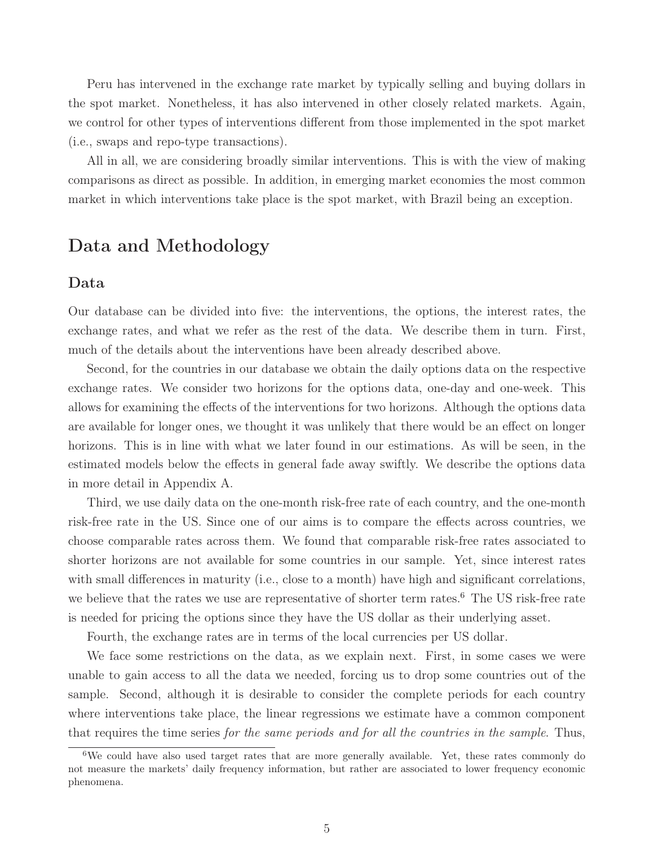Peru has intervened in the exchange rate market by typically selling and buying dollars in the spot market. Nonetheless, it has also intervened in other closely related markets. Again, we control for other types of interventions different from those implemented in the spot market (i.e., swaps and repo-type transactions).

All in all, we are considering broadly similar interventions. This is with the view of making comparisons as direct as possible. In addition, in emerging market economies the most common market in which interventions take place is the spot market, with Brazil being an exception.

# Data and Methodology

### Data

Our database can be divided into five: the interventions, the options, the interest rates, the exchange rates, and what we refer as the rest of the data. We describe them in turn. First, much of the details about the interventions have been already described above.

Second, for the countries in our database we obtain the daily options data on the respective exchange rates. We consider two horizons for the options data, one-day and one-week. This allows for examining the effects of the interventions for two horizons. Although the options data are available for longer ones, we thought it was unlikely that there would be an effect on longer horizons. This is in line with what we later found in our estimations. As will be seen, in the estimated models below the effects in general fade away swiftly. We describe the options data in more detail in Appendix A.

Third, we use daily data on the one-month risk-free rate of each country, and the one-month risk-free rate in the US. Since one of our aims is to compare the effects across countries, we choose comparable rates across them. We found that comparable risk-free rates associated to shorter horizons are not available for some countries in our sample. Yet, since interest rates with small differences in maturity (i.e., close to a month) have high and significant correlations, we believe that the rates we use are representative of shorter term rates.<sup>6</sup> The US risk-free rate is needed for pricing the options since they have the US dollar as their underlying asset.

Fourth, the exchange rates are in terms of the local currencies per US dollar.

We face some restrictions on the data, as we explain next. First, in some cases we were unable to gain access to all the data we needed, forcing us to drop some countries out of the sample. Second, although it is desirable to consider the complete periods for each country where interventions take place, the linear regressions we estimate have a common component that requires the time series *for the same periods and for all the countries in the sample*. Thus,

<sup>&</sup>lt;sup>6</sup>We could have also used target rates that are more generally available. Yet, these rates commonly do not measure the markets' daily frequency information, but rather are associated to lower frequency economic phenomena.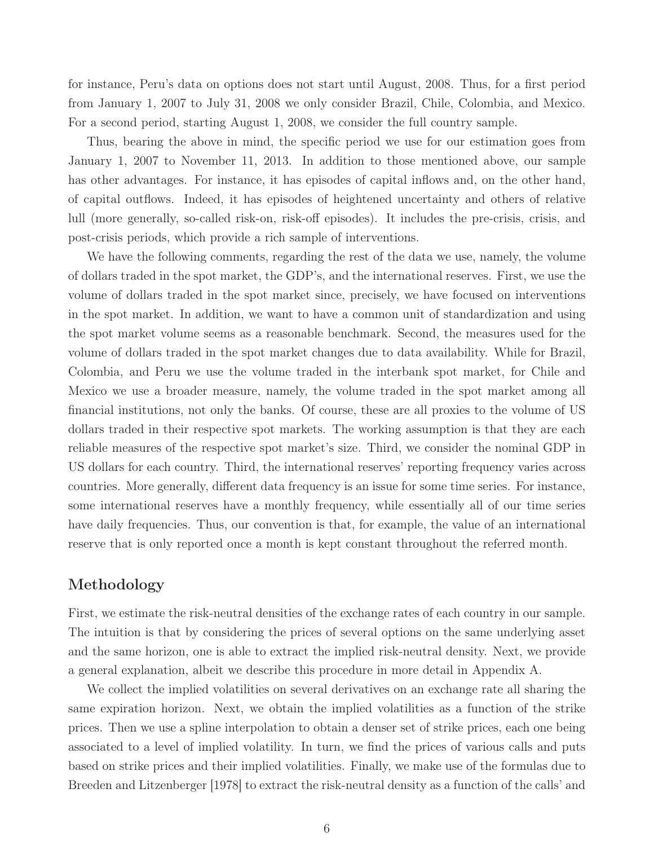for instance, Peru's data on options does not start until August, 2008. Thus, for a first period from January 1, 2007 to July 31, 2008 we only consider Brazil, Chile, Colombia, and Mexico. For a second period, starting August 1, 2008, we consider the full country sample.

Thus, bearing the above in mind, the specific period we use for our estimation goes from January 1, 2007 to November 11, 2013. In addition to those mentioned above, our sample has other advantages. For instance, it has episodes of capital inflows and, on the other hand, of capital outflows. Indeed, it has episodes of heightened uncertainty and others of relative lull (more generally, so-called risk-on, risk-off episodes). It includes the pre-crisis, crisis, and post-crisis periods, which provide a rich sample of interventions.

We have the following comments, regarding the rest of the data we use, namely, the volume of dollars traded in the spot market, the GDP's, and the international reserves. First, we use the volume of dollars traded in the spot market since, precisely, we have focused on interventions in the spot market. In addition, we want to have a common unit of standardization and using the spot market volume seems as a reasonable benchmark. Second, the measures used for the volume of dollars traded in the spot market changes due to data availability. While for Brazil, Colombia, and Peru we use the volume traded in the interbank spot market, for Chile and Mexico we use a broader measure, namely, the volume traded in the spot market among all financial institutions, not only the banks. Of course, these are all proxies to the volume of US dollars traded in their respective spot markets. The working assumption is that they are each reliable measures of the respective spot market's size. Third, we consider the nominal GDP in US dollars for each country. Third, the international reserves' reporting frequency varies across countries. More generally, different data frequency is an issue for some time series. For instance, some international reserves have a monthly frequency, while essentially all of our time series have daily frequencies. Thus, our convention is that, for example, the value of an international reserve that is only reported once a month is kept constant throughout the referred month.

## Methodology

First, we estimate the risk-neutral densities of the exchange rates of each country in our sample. The intuition is that by considering the prices of several options on the same underlying asset and the same horizon, one is able to extract the implied risk-neutral density. Next, we provide a general explanation, albeit we describe this procedure in more detail in Appendix A.

We collect the implied volatilities on several derivatives on an exchange rate all sharing the same expiration horizon. Next, we obtain the implied volatilities as a function of the strike prices. Then we use a spline interpolation to obtain a denser set of strike prices, each one being associated to a level of implied volatility. In turn, we find the prices of various calls and puts based on strike prices and their implied volatilities. Finally, we make use of the formulas due to Breeden and Litzenberger [1978] to extract the risk-neutral density as a function of the calls' and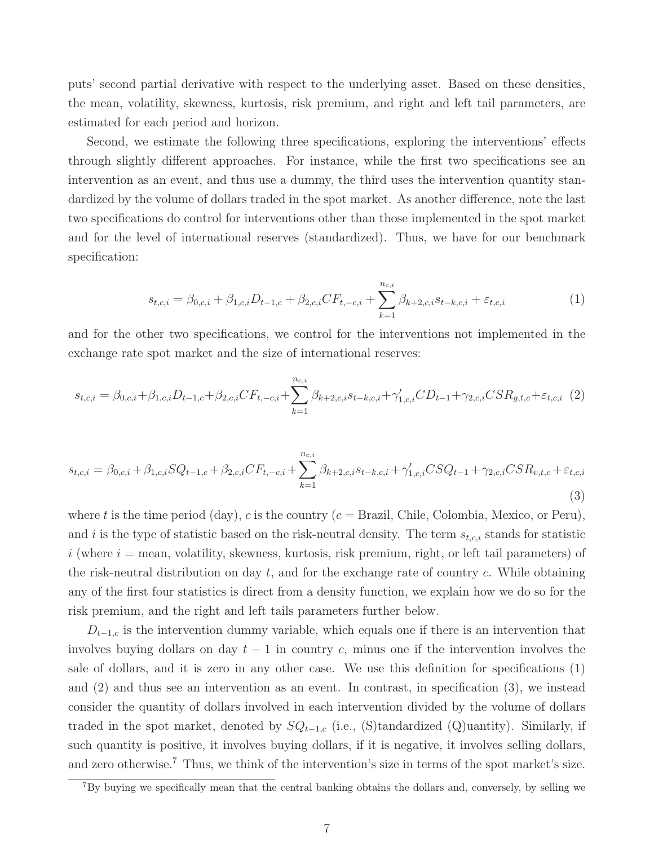puts' second partial derivative with respect to the underlying asset. Based on these densities, the mean, volatility, skewness, kurtosis, risk premium, and right and left tail parameters, are estimated for each period and horizon.

Second, we estimate the following three specifications, exploring the interventions' effects through slightly different approaches. For instance, while the first two specifications see an intervention as an event, and thus use a dummy, the third uses the intervention quantity standardized by the volume of dollars traded in the spot market. As another difference, note the last two specifications do control for interventions other than those implemented in the spot market and for the level of international reserves (standardized). Thus, we have for our benchmark specification:

$$
s_{t,c,i} = \beta_{0,c,i} + \beta_{1,c,i} D_{t-1,c} + \beta_{2,c,i} CF_{t,-c,i} + \sum_{k=1}^{n_{c,i}} \beta_{k+2,c,i} s_{t-k,c,i} + \varepsilon_{t,c,i}
$$
(1)

and for the other two specifications, we control for the interventions not implemented in the exchange rate spot market and the size of international reserves:

$$
s_{t,c,i} = \beta_{0,c,i} + \beta_{1,c,i} D_{t-1,c} + \beta_{2,c,i} CF_{t,-c,i} + \sum_{k=1}^{n_{c,i}} \beta_{k+2,c,i} s_{t-k,c,i} + \gamma'_{1,c,i} CD_{t-1} + \gamma_{2,c,i} CSR_{g,t,c} + \varepsilon_{t,c,i}
$$
 (2)

$$
s_{t,c,i} = \beta_{0,c,i} + \beta_{1,c,i} SQ_{t-1,c} + \beta_{2,c,i} CF_{t,-c,i} + \sum_{k=1}^{n_{c,i}} \beta_{k+2,c,i} s_{t-k,c,i} + \gamma'_{1,c,i} CSQ_{t-1} + \gamma_{2,c,i} CSR_{v,t,c} + \varepsilon_{t,c,i}
$$
\n(3)

where t is the time period (day), c is the country  $(c = Brazil, Chile, Colombia, Mexico, or Peru),$ and i is the type of statistic based on the risk-neutral density. The term  $s_{t,c,i}$  stands for statistic  $i$  (where  $i =$  mean, volatility, skewness, kurtosis, risk premium, right, or left tail parameters) of the risk-neutral distribution on day  $t$ , and for the exchange rate of country  $c$ . While obtaining any of the first four statistics is direct from a density function, we explain how we do so for the risk premium, and the right and left tails parameters further below.

 $D_{t-1,c}$  is the intervention dummy variable, which equals one if there is an intervention that involves buying dollars on day  $t-1$  in country c, minus one if the intervention involves the sale of dollars, and it is zero in any other case. We use this definition for specifications (1) and (2) and thus see an intervention as an event. In contrast, in specification (3), we instead consider the quantity of dollars involved in each intervention divided by the volume of dollars traded in the spot market, denoted by  $SQ_{t-1,c}$  (i.e., (S)tandardized (Q)uantity). Similarly, if such quantity is positive, it involves buying dollars, if it is negative, it involves selling dollars, and zero otherwise.<sup>7</sup> Thus, we think of the intervention's size in terms of the spot market's size.

<sup>7</sup>By buying we specifically mean that the central banking obtains the dollars and, conversely, by selling we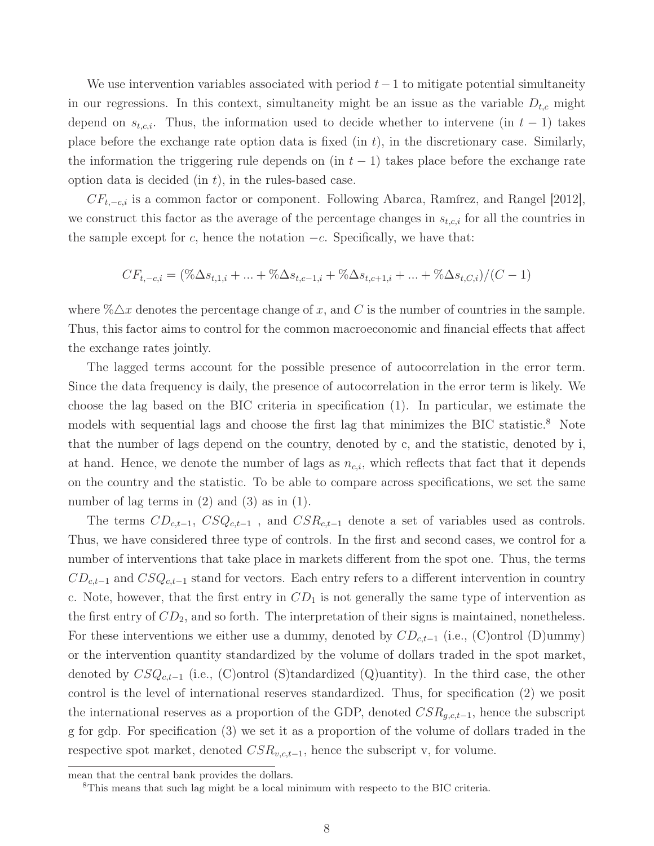We use intervention variables associated with period  $t-1$  to mitigate potential simultaneity in our regressions. In this context, simultaneity might be an issue as the variable  $D_{t,c}$  might depend on  $s_{t,c,i}$ . Thus, the information used to decide whether to intervene (in  $t-1$ ) takes place before the exchange rate option data is fixed  $(in t)$ , in the discretionary case. Similarly, the information the triggering rule depends on (in  $t - 1$ ) takes place before the exchange rate option data is decided  $(in t)$ , in the rules-based case.

 $CF_{t,-c,i}$  is a common factor or component. Following Abarca, Ramírez, and Rangel [2012], we construct this factor as the average of the percentage changes in  $s_{t,c,i}$  for all the countries in the sample except for c, hence the notation  $-c$ . Specifically, we have that:

$$
CF_{t,-c,i} = (\% \Delta s_{t,1,i} + ... + \% \Delta s_{t,c-1,i} + \% \Delta s_{t,c+1,i} + ... + \% \Delta s_{t,C,i})/(C-1)
$$

where  $\% \triangle x$  denotes the percentage change of x, and C is the number of countries in the sample. Thus, this factor aims to control for the common macroeconomic and financial effects that affect the exchange rates jointly.

The lagged terms account for the possible presence of autocorrelation in the error term. Since the data frequency is daily, the presence of autocorrelation in the error term is likely. We choose the lag based on the BIC criteria in specification (1). In particular, we estimate the models with sequential lags and choose the first lag that minimizes the BIC statistic.<sup>8</sup> Note that the number of lags depend on the country, denoted by c, and the statistic, denoted by i, at hand. Hence, we denote the number of lags as  $n_{c,i}$ , which reflects that fact that it depends on the country and the statistic. To be able to compare across specifications, we set the same number of lag terms in  $(2)$  and  $(3)$  as in  $(1)$ .

The terms  $CD_{c,t-1}$ ,  $CSQ_{c,t-1}$ , and  $CSR_{c,t-1}$  denote a set of variables used as controls. Thus, we have considered three type of controls. In the first and second cases, we control for a number of interventions that take place in markets different from the spot one. Thus, the terms  $CD_{c,t-1}$  and  $CSQ_{c,t-1}$  stand for vectors. Each entry refers to a different intervention in country c. Note, however, that the first entry in  $CD<sub>1</sub>$  is not generally the same type of intervention as the first entry of  $CD_2$ , and so forth. The interpretation of their signs is maintained, nonetheless. For these interventions we either use a dummy, denoted by  $CD_{c,t-1}$  (i.e., (C)ontrol (D)ummy) or the intervention quantity standardized by the volume of dollars traded in the spot market, denoted by  $CSQ_{c,t-1}$  (i.e., (C)ontrol (S)tandardized (Q)uantity). In the third case, the other control is the level of international reserves standardized. Thus, for specification (2) we posit the international reserves as a proportion of the GDP, denoted  $CSR_{q,c,t-1}$ , hence the subscript g for gdp. For specification (3) we set it as a proportion of the volume of dollars traded in the respective spot market, denoted  $CSR_{v.c.t-1}$ , hence the subscript v, for volume.

mean that the central bank provides the dollars.

<sup>8</sup>This means that such lag might be a local minimum with respecto to the BIC criteria.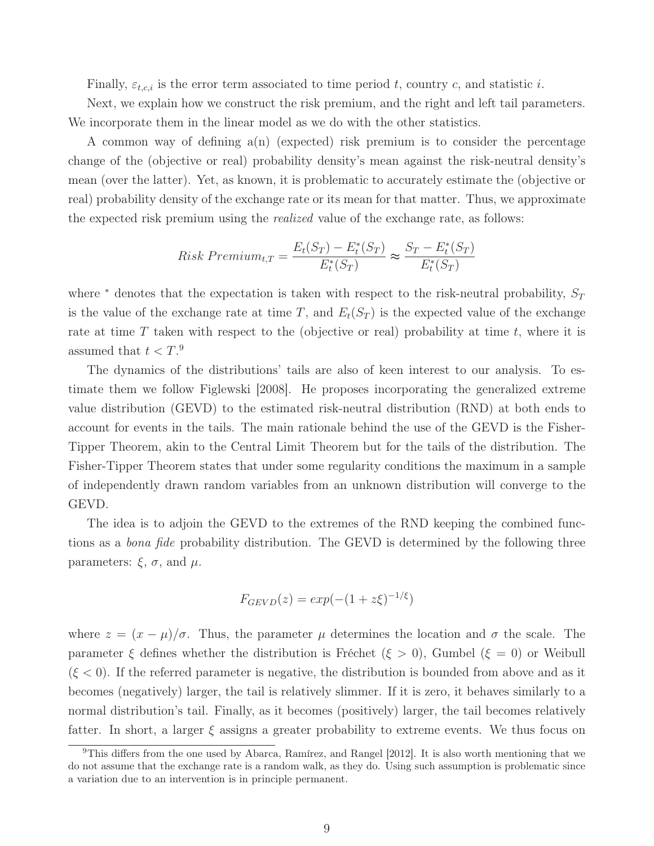Finally,  $\varepsilon_{t,c,i}$  is the error term associated to time period t, country c, and statistic i.

Next, we explain how we construct the risk premium, and the right and left tail parameters. We incorporate them in the linear model as we do with the other statistics.

A common way of defining  $a(n)$  (expected) risk premium is to consider the percentage change of the (objective or real) probability density's mean against the risk-neutral density's mean (over the latter). Yet, as known, it is problematic to accurately estimate the (objective or real) probability density of the exchange rate or its mean for that matter. Thus, we approximate the expected risk premium using the *realized* value of the exchange rate, as follows:

Risk Premium<sub>t,T</sub> = 
$$
\frac{E_t(S_T) - E_t^*(S_T)}{E_t^*(S_T)} \approx \frac{S_T - E_t^*(S_T)}{E_t^*(S_T)}
$$

where  $*$  denotes that the expectation is taken with respect to the risk-neutral probability,  $S_T$ is the value of the exchange rate at time T, and  $E_t(S_T)$  is the expected value of the exchange rate at time T taken with respect to the (objective or real) probability at time t, where it is assumed that  $t < T$ .<sup>9</sup>

The dynamics of the distributions' tails are also of keen interest to our analysis. To estimate them we follow Figlewski [2008]. He proposes incorporating the generalized extreme value distribution (GEVD) to the estimated risk-neutral distribution (RND) at both ends to account for events in the tails. The main rationale behind the use of the GEVD is the Fisher-Tipper Theorem, akin to the Central Limit Theorem but for the tails of the distribution. The Fisher-Tipper Theorem states that under some regularity conditions the maximum in a sample of independently drawn random variables from an unknown distribution will converge to the GEVD.

The idea is to adjoin the GEVD to the extremes of the RND keeping the combined functions as a *bona fide* probability distribution. The GEVD is determined by the following three parameters:  $\xi$ ,  $\sigma$ , and  $\mu$ .

$$
F_{GEVD}(z) = exp(-(1 + z\xi)^{-1/\xi})
$$

where  $z = (x - \mu)/\sigma$ . Thus, the parameter  $\mu$  determines the location and  $\sigma$  the scale. The parameter  $\xi$  defines whether the distribution is Fréchet  $(\xi > 0)$ , Gumbel  $(\xi = 0)$  or Weibull  $(\xi < 0)$ . If the referred parameter is negative, the distribution is bounded from above and as it becomes (negatively) larger, the tail is relatively slimmer. If it is zero, it behaves similarly to a normal distribution's tail. Finally, as it becomes (positively) larger, the tail becomes relatively fatter. In short, a larger  $\xi$  assigns a greater probability to extreme events. We thus focus on

<sup>&</sup>lt;sup>9</sup>This differs from the one used by Abarca, Ramírez, and Rangel  $[2012]$ . It is also worth mentioning that we do not assume that the exchange rate is a random walk, as they do. Using such assumption is problematic since a variation due to an intervention is in principle permanent.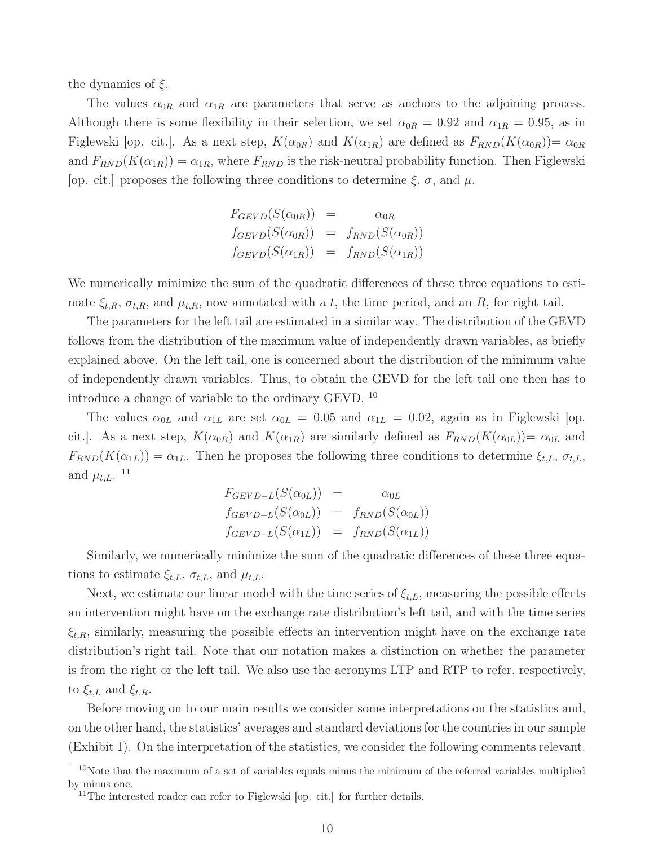the dynamics of  $\xi$ .

The values  $\alpha_{0R}$  and  $\alpha_{1R}$  are parameters that serve as anchors to the adjoining process. Although there is some flexibility in their selection, we set  $\alpha_{0R} = 0.92$  and  $\alpha_{1R} = 0.95$ , as in Figlewski [op. cit.]. As a next step,  $K(\alpha_{0R})$  and  $K(\alpha_{1R})$  are defined as  $F_{RND}(K(\alpha_{0R}))=\alpha_{0R}$ and  $F_{RND}(K(\alpha_{1R})) = \alpha_{1R}$ , where  $F_{RND}$  is the risk-neutral probability function. Then Figlewski [op. cit.] proposes the following three conditions to determine  $\xi$ ,  $\sigma$ , and  $\mu$ .

$$
F_{GEVD}(S(\alpha_{0R})) = \alpha_{0R}
$$
  
\n
$$
f_{GEVD}(S(\alpha_{0R})) = f_{RND}(S(\alpha_{0R}))
$$
  
\n
$$
f_{GEVD}(S(\alpha_{1R})) = f_{RND}(S(\alpha_{1R}))
$$

We numerically minimize the sum of the quadratic differences of these three equations to estimate  $\xi_{t,R}$ ,  $\sigma_{t,R}$ , and  $\mu_{t,R}$ , now annotated with a t, the time period, and an R, for right tail.

The parameters for the left tail are estimated in a similar way. The distribution of the GEVD follows from the distribution of the maximum value of independently drawn variables, as briefly explained above. On the left tail, one is concerned about the distribution of the minimum value of independently drawn variables. Thus, to obtain the GEVD for the left tail one then has to introduce a change of variable to the ordinary GEVD. <sup>10</sup>

The values  $\alpha_{0L}$  and  $\alpha_{1L}$  are set  $\alpha_{0L} = 0.05$  and  $\alpha_{1L} = 0.02$ , again as in Figlewski [op. cit.]. As a next step,  $K(\alpha_{0R})$  and  $K(\alpha_{1R})$  are similarly defined as  $F_{RND}(K(\alpha_{0L}))=\alpha_{0L}$  and  $F_{RND}(K(\alpha_{1L})) = \alpha_{1L}$ . Then he proposes the following three conditions to determine  $\xi_{t,L}$ ,  $\sigma_{t,L}$ , and  $\mu_{t,L}$ . <sup>11</sup>

$$
F_{GEVD-L}(S(\alpha_{0L})) = \alpha_{0L}
$$
  
\n
$$
f_{GEVD-L}(S(\alpha_{0L})) = f_{RND}(S(\alpha_{0L}))
$$
  
\n
$$
f_{GEVD-L}(S(\alpha_{1L})) = f_{RND}(S(\alpha_{1L}))
$$

Similarly, we numerically minimize the sum of the quadratic differences of these three equations to estimate  $\xi_{t,L}$ ,  $\sigma_{t,L}$ , and  $\mu_{t,L}$ .

Next, we estimate our linear model with the time series of  $\xi_{t,L}$ , measuring the possible effects an intervention might have on the exchange rate distribution's left tail, and with the time series  $\xi_{t,R}$ , similarly, measuring the possible effects an intervention might have on the exchange rate distribution's right tail. Note that our notation makes a distinction on whether the parameter is from the right or the left tail. We also use the acronyms LTP and RTP to refer, respectively, to  $\xi_{t,L}$  and  $\xi_{t,R}$ .

Before moving on to our main results we consider some interpretations on the statistics and, on the other hand, the statistics' averages and standard deviations for the countries in our sample (Exhibit 1). On the interpretation of the statistics, we consider the following comments relevant.

<sup>&</sup>lt;sup>10</sup>Note that the maximum of a set of variables equals minus the minimum of the referred variables multiplied by minus one.

<sup>&</sup>lt;sup>11</sup>The interested reader can refer to Figlewski [op. cit.] for further details.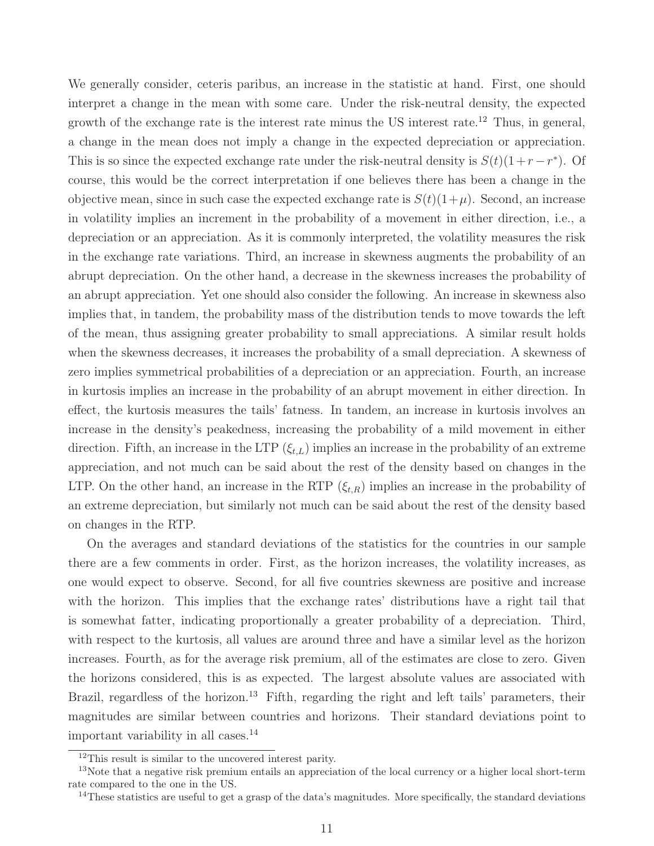We generally consider, ceteris paribus, an increase in the statistic at hand. First, one should interpret a change in the mean with some care. Under the risk-neutral density, the expected growth of the exchange rate is the interest rate minus the US interest rate.<sup>12</sup> Thus, in general, a change in the mean does not imply a change in the expected depreciation or appreciation. This is so since the expected exchange rate under the risk-neutral density is  $S(t)(1+r-r^*)$ . Of course, this would be the correct interpretation if one believes there has been a change in the objective mean, since in such case the expected exchange rate is  $S(t)(1+\mu)$ . Second, an increase in volatility implies an increment in the probability of a movement in either direction, i.e., a depreciation or an appreciation. As it is commonly interpreted, the volatility measures the risk in the exchange rate variations. Third, an increase in skewness augments the probability of an abrupt depreciation. On the other hand, a decrease in the skewness increases the probability of an abrupt appreciation. Yet one should also consider the following. An increase in skewness also implies that, in tandem, the probability mass of the distribution tends to move towards the left of the mean, thus assigning greater probability to small appreciations. A similar result holds when the skewness decreases, it increases the probability of a small depreciation. A skewness of zero implies symmetrical probabilities of a depreciation or an appreciation. Fourth, an increase in kurtosis implies an increase in the probability of an abrupt movement in either direction. In effect, the kurtosis measures the tails' fatness. In tandem, an increase in kurtosis involves an increase in the density's peakedness, increasing the probability of a mild movement in either direction. Fifth, an increase in the LTP  $(\xi_{t,L})$  implies an increase in the probability of an extreme appreciation, and not much can be said about the rest of the density based on changes in the LTP. On the other hand, an increase in the RTP  $(\xi_{t,R})$  implies an increase in the probability of an extreme depreciation, but similarly not much can be said about the rest of the density based on changes in the RTP.

On the averages and standard deviations of the statistics for the countries in our sample there are a few comments in order. First, as the horizon increases, the volatility increases, as one would expect to observe. Second, for all five countries skewness are positive and increase with the horizon. This implies that the exchange rates' distributions have a right tail that is somewhat fatter, indicating proportionally a greater probability of a depreciation. Third, with respect to the kurtosis, all values are around three and have a similar level as the horizon increases. Fourth, as for the average risk premium, all of the estimates are close to zero. Given the horizons considered, this is as expected. The largest absolute values are associated with Brazil, regardless of the horizon.<sup>13</sup> Fifth, regarding the right and left tails' parameters, their magnitudes are similar between countries and horizons. Their standard deviations point to important variability in all cases.<sup>14</sup>

<sup>&</sup>lt;sup>12</sup>This result is similar to the uncovered interest parity.

<sup>&</sup>lt;sup>13</sup>Note that a negative risk premium entails an appreciation of the local currency or a higher local short-term rate compared to the one in the US.

 $14$ These statistics are useful to get a grasp of the data's magnitudes. More specifically, the standard deviations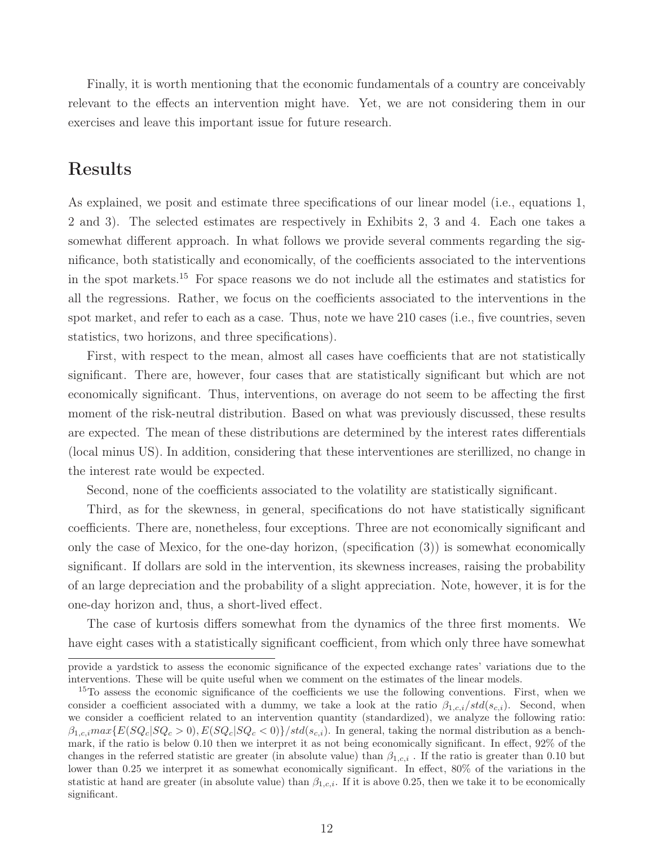Finally, it is worth mentioning that the economic fundamentals of a country are conceivably relevant to the effects an intervention might have. Yet, we are not considering them in our exercises and leave this important issue for future research.

# Results

As explained, we posit and estimate three specifications of our linear model (i.e., equations 1, 2 and 3). The selected estimates are respectively in Exhibits 2, 3 and 4. Each one takes a somewhat different approach. In what follows we provide several comments regarding the significance, both statistically and economically, of the coefficients associated to the interventions in the spot markets.<sup>15</sup> For space reasons we do not include all the estimates and statistics for all the regressions. Rather, we focus on the coefficients associated to the interventions in the spot market, and refer to each as a case. Thus, note we have 210 cases (i.e., five countries, seven statistics, two horizons, and three specifications).

First, with respect to the mean, almost all cases have coefficients that are not statistically significant. There are, however, four cases that are statistically significant but which are not economically significant. Thus, interventions, on average do not seem to be affecting the first moment of the risk-neutral distribution. Based on what was previously discussed, these results are expected. The mean of these distributions are determined by the interest rates differentials (local minus US). In addition, considering that these interventiones are sterillized, no change in the interest rate would be expected.

Second, none of the coefficients associated to the volatility are statistically significant.

Third, as for the skewness, in general, specifications do not have statistically significant coefficients. There are, nonetheless, four exceptions. Three are not economically significant and only the case of Mexico, for the one-day horizon, (specification (3)) is somewhat economically significant. If dollars are sold in the intervention, its skewness increases, raising the probability of an large depreciation and the probability of a slight appreciation. Note, however, it is for the one-day horizon and, thus, a short-lived effect.

The case of kurtosis differs somewhat from the dynamics of the three first moments. We have eight cases with a statistically significant coefficient, from which only three have somewhat

provide a yardstick to assess the economic significance of the expected exchange rates' variations due to the interventions. These will be quite useful when we comment on the estimates of the linear models.

<sup>&</sup>lt;sup>15</sup>To assess the economic significance of the coefficients we use the following conventions. First, when we consider a coefficient associated with a dummy, we take a look at the ratio  $\beta_{1,c,i}/std(s_{c,i})$ . Second, when we consider a coefficient related to an intervention quantity (standardized), we analyze the following ratio:  $\beta_{1,c,i}max\{E(SQ_c|SQ_c > 0), E(SQ_c|SQ_c < 0)\}/std(s_{c,i})$ . In general, taking the normal distribution as a benchmark, if the ratio is below 0.10 then we interpret it as not being economically significant. In effect, 92% of the changes in the referred statistic are greater (in absolute value) than  $\beta_{1,c,i}$ . If the ratio is greater than 0.10 but lower than 0.25 we interpret it as somewhat economically significant. In effect, 80% of the variations in the statistic at hand are greater (in absolute value) than  $\beta_{1,c,i}$ . If it is above 0.25, then we take it to be economically significant.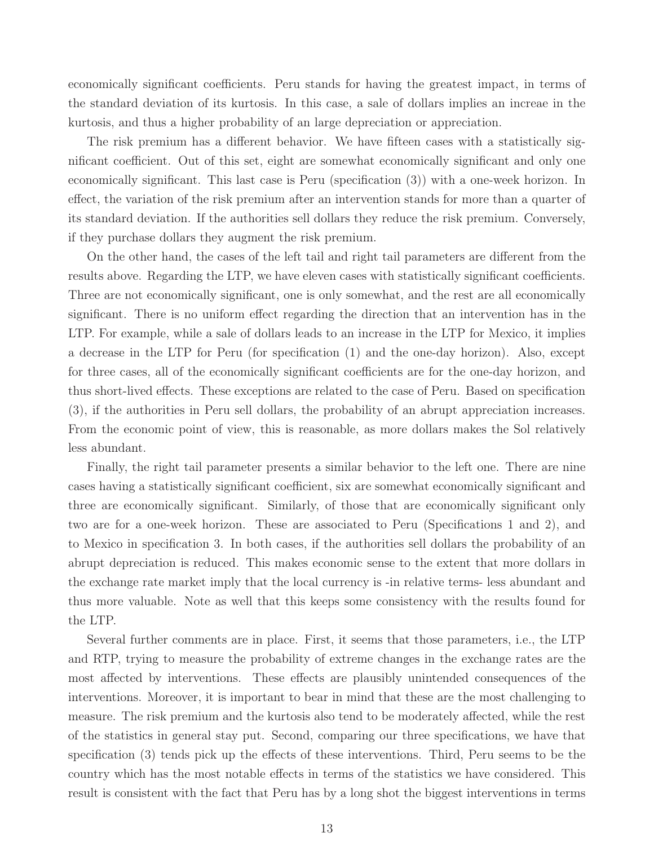economically significant coefficients. Peru stands for having the greatest impact, in terms of the standard deviation of its kurtosis. In this case, a sale of dollars implies an increae in the kurtosis, and thus a higher probability of an large depreciation or appreciation.

The risk premium has a different behavior. We have fifteen cases with a statistically significant coefficient. Out of this set, eight are somewhat economically significant and only one economically significant. This last case is Peru (specification (3)) with a one-week horizon. In effect, the variation of the risk premium after an intervention stands for more than a quarter of its standard deviation. If the authorities sell dollars they reduce the risk premium. Conversely, if they purchase dollars they augment the risk premium.

On the other hand, the cases of the left tail and right tail parameters are different from the results above. Regarding the LTP, we have eleven cases with statistically significant coefficients. Three are not economically significant, one is only somewhat, and the rest are all economically significant. There is no uniform effect regarding the direction that an intervention has in the LTP. For example, while a sale of dollars leads to an increase in the LTP for Mexico, it implies a decrease in the LTP for Peru (for specification (1) and the one-day horizon). Also, except for three cases, all of the economically significant coefficients are for the one-day horizon, and thus short-lived effects. These exceptions are related to the case of Peru. Based on specification (3), if the authorities in Peru sell dollars, the probability of an abrupt appreciation increases. From the economic point of view, this is reasonable, as more dollars makes the Sol relatively less abundant.

Finally, the right tail parameter presents a similar behavior to the left one. There are nine cases having a statistically significant coefficient, six are somewhat economically significant and three are economically significant. Similarly, of those that are economically significant only two are for a one-week horizon. These are associated to Peru (Specifications 1 and 2), and to Mexico in specification 3. In both cases, if the authorities sell dollars the probability of an abrupt depreciation is reduced. This makes economic sense to the extent that more dollars in the exchange rate market imply that the local currency is -in relative terms- less abundant and thus more valuable. Note as well that this keeps some consistency with the results found for the LTP.

Several further comments are in place. First, it seems that those parameters, i.e., the LTP and RTP, trying to measure the probability of extreme changes in the exchange rates are the most affected by interventions. These effects are plausibly unintended consequences of the interventions. Moreover, it is important to bear in mind that these are the most challenging to measure. The risk premium and the kurtosis also tend to be moderately affected, while the rest of the statistics in general stay put. Second, comparing our three specifications, we have that specification (3) tends pick up the effects of these interventions. Third, Peru seems to be the country which has the most notable effects in terms of the statistics we have considered. This result is consistent with the fact that Peru has by a long shot the biggest interventions in terms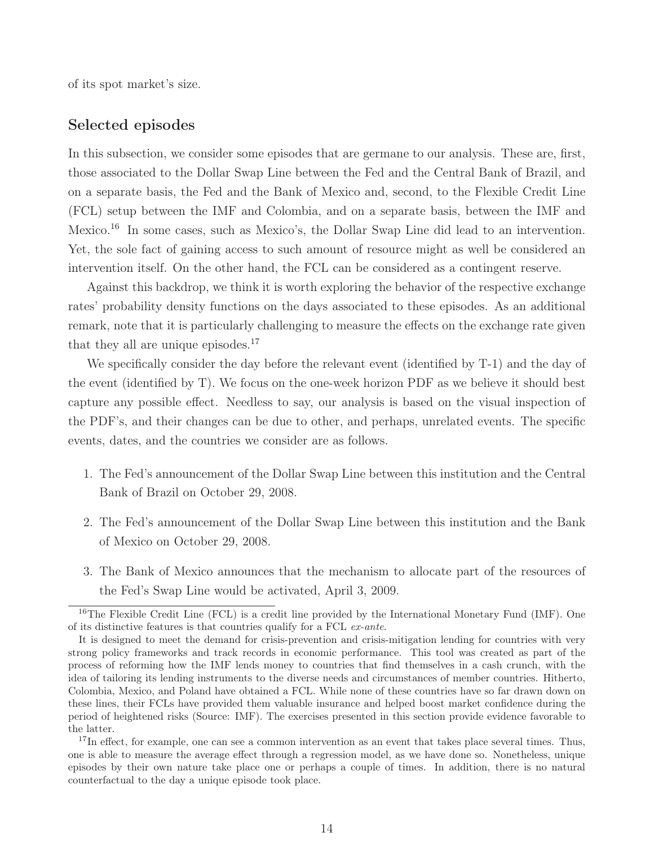of its spot market's size.

## Selected episodes

In this subsection, we consider some episodes that are germane to our analysis. These are, first, those associated to the Dollar Swap Line between the Fed and the Central Bank of Brazil, and on a separate basis, the Fed and the Bank of Mexico and, second, to the Flexible Credit Line (FCL) setup between the IMF and Colombia, and on a separate basis, between the IMF and Mexico.<sup>16</sup> In some cases, such as Mexico's, the Dollar Swap Line did lead to an intervention. Yet, the sole fact of gaining access to such amount of resource might as well be considered an intervention itself. On the other hand, the FCL can be considered as a contingent reserve.

Against this backdrop, we think it is worth exploring the behavior of the respective exchange rates' probability density functions on the days associated to these episodes. As an additional remark, note that it is particularly challenging to measure the effects on the exchange rate given that they all are unique episodes.<sup>17</sup>

We specifically consider the day before the relevant event (identified by T-1) and the day of the event (identified by T). We focus on the one-week horizon PDF as we believe it should best capture any possible effect. Needless to say, our analysis is based on the visual inspection of the PDF's, and their changes can be due to other, and perhaps, unrelated events. The specific events, dates, and the countries we consider are as follows.

- 1. The Fed's announcement of the Dollar Swap Line between this institution and the Central Bank of Brazil on October 29, 2008.
- 2. The Fed's announcement of the Dollar Swap Line between this institution and the Bank of Mexico on October 29, 2008.
- 3. The Bank of Mexico announces that the mechanism to allocate part of the resources of the Fed's Swap Line would be activated, April 3, 2009.

<sup>&</sup>lt;sup>16</sup>The Flexible Credit Line (FCL) is a credit line provided by the International Monetary Fund (IMF). One of its distinctive features is that countries qualify for a FCL ex-ante.

It is designed to meet the demand for crisis-prevention and crisis-mitigation lending for countries with very strong policy frameworks and track records in economic performance. This tool was created as part of the process of reforming how the IMF lends money to countries that find themselves in a cash crunch, with the idea of tailoring its lending instruments to the diverse needs and circumstances of member countries. Hitherto, Colombia, Mexico, and Poland have obtained a FCL. While none of these countries have so far drawn down on these lines, their FCLs have provided them valuable insurance and helped boost market confidence during the period of heightened risks (Source: IMF). The exercises presented in this section provide evidence favorable to the latter.

<sup>&</sup>lt;sup>17</sup>In effect, for example, one can see a common intervention as an event that takes place several times. Thus, one is able to measure the average effect through a regression model, as we have done so. Nonetheless, unique episodes by their own nature take place one or perhaps a couple of times. In addition, there is no natural counterfactual to the day a unique episode took place.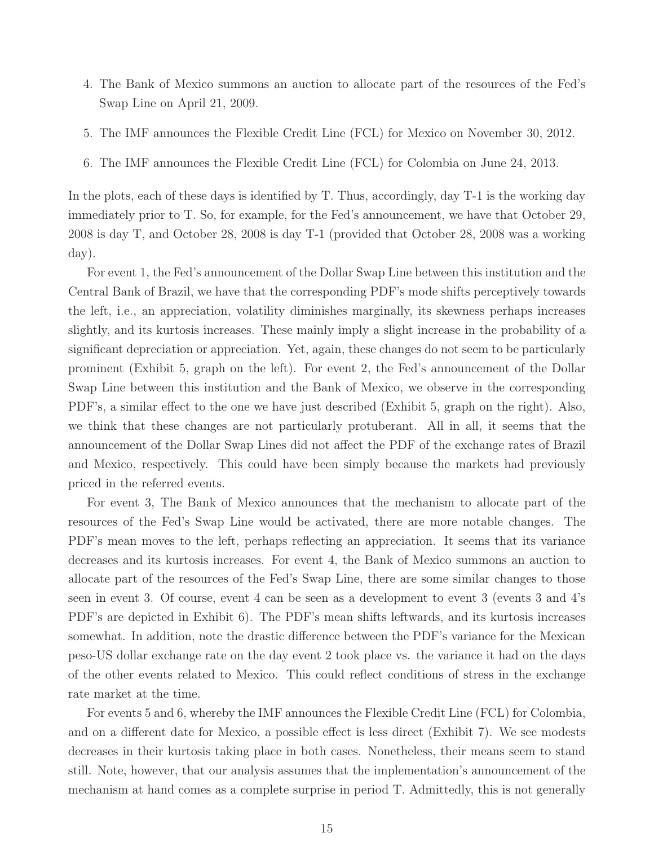- 4. The Bank of Mexico summons an auction to allocate part of the resources of the Fed's Swap Line on April 21, 2009.
- 5. The IMF announces the Flexible Credit Line (FCL) for Mexico on November 30, 2012.
- 6. The IMF announces the Flexible Credit Line (FCL) for Colombia on June 24, 2013.

In the plots, each of these days is identified by T. Thus, accordingly, day T-1 is the working day immediately prior to T. So, for example, for the Fed's announcement, we have that October 29, 2008 is day T, and October 28, 2008 is day T-1 (provided that October 28, 2008 was a working day).

For event 1, the Fed's announcement of the Dollar Swap Line between this institution and the Central Bank of Brazil, we have that the corresponding PDF's mode shifts perceptively towards the left, i.e., an appreciation, volatility diminishes marginally, its skewness perhaps increases slightly, and its kurtosis increases. These mainly imply a slight increase in the probability of a significant depreciation or appreciation. Yet, again, these changes do not seem to be particularly prominent (Exhibit 5, graph on the left). For event 2, the Fed's announcement of the Dollar Swap Line between this institution and the Bank of Mexico, we observe in the corresponding PDF's, a similar effect to the one we have just described (Exhibit 5, graph on the right). Also, we think that these changes are not particularly protuberant. All in all, it seems that the announcement of the Dollar Swap Lines did not affect the PDF of the exchange rates of Brazil and Mexico, respectively. This could have been simply because the markets had previously priced in the referred events.

For event 3, The Bank of Mexico announces that the mechanism to allocate part of the resources of the Fed's Swap Line would be activated, there are more notable changes. The PDF's mean moves to the left, perhaps reflecting an appreciation. It seems that its variance decreases and its kurtosis increases. For event 4, the Bank of Mexico summons an auction to allocate part of the resources of the Fed's Swap Line, there are some similar changes to those seen in event 3. Of course, event 4 can be seen as a development to event 3 (events 3 and 4's PDF's are depicted in Exhibit 6). The PDF's mean shifts leftwards, and its kurtosis increases somewhat. In addition, note the drastic difference between the PDF's variance for the Mexican peso-US dollar exchange rate on the day event 2 took place vs. the variance it had on the days of the other events related to Mexico. This could reflect conditions of stress in the exchange rate market at the time.

For events 5 and 6, whereby the IMF announces the Flexible Credit Line (FCL) for Colombia, and on a different date for Mexico, a possible effect is less direct (Exhibit 7). We see modests decreases in their kurtosis taking place in both cases. Nonetheless, their means seem to stand still. Note, however, that our analysis assumes that the implementation's announcement of the mechanism at hand comes as a complete surprise in period T. Admittedly, this is not generally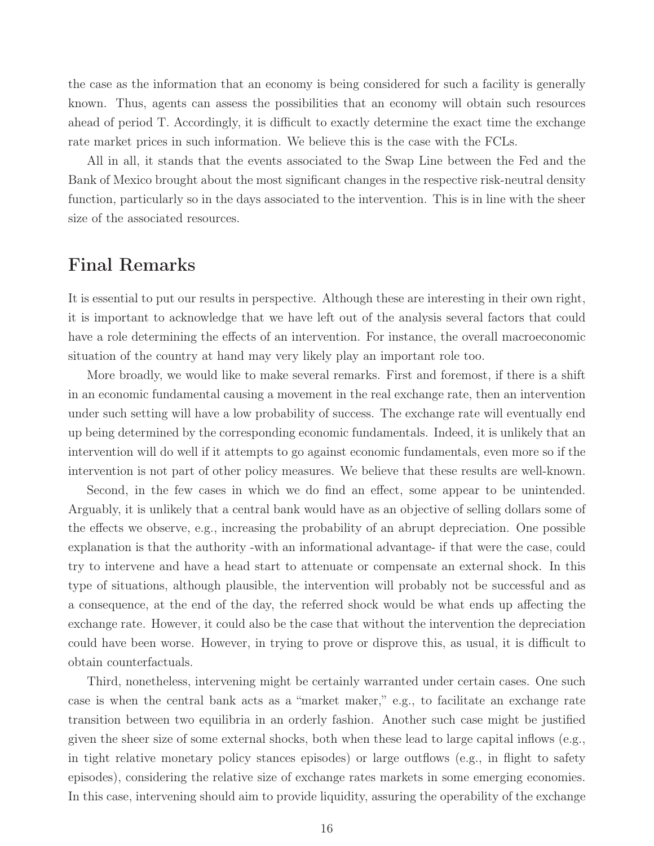the case as the information that an economy is being considered for such a facility is generally known. Thus, agents can assess the possibilities that an economy will obtain such resources ahead of period T. Accordingly, it is difficult to exactly determine the exact time the exchange rate market prices in such information. We believe this is the case with the FCLs.

All in all, it stands that the events associated to the Swap Line between the Fed and the Bank of Mexico brought about the most significant changes in the respective risk-neutral density function, particularly so in the days associated to the intervention. This is in line with the sheer size of the associated resources.

# Final Remarks

It is essential to put our results in perspective. Although these are interesting in their own right, it is important to acknowledge that we have left out of the analysis several factors that could have a role determining the effects of an intervention. For instance, the overall macroeconomic situation of the country at hand may very likely play an important role too.

More broadly, we would like to make several remarks. First and foremost, if there is a shift in an economic fundamental causing a movement in the real exchange rate, then an intervention under such setting will have a low probability of success. The exchange rate will eventually end up being determined by the corresponding economic fundamentals. Indeed, it is unlikely that an intervention will do well if it attempts to go against economic fundamentals, even more so if the intervention is not part of other policy measures. We believe that these results are well-known.

Second, in the few cases in which we do find an effect, some appear to be unintended. Arguably, it is unlikely that a central bank would have as an objective of selling dollars some of the effects we observe, e.g., increasing the probability of an abrupt depreciation. One possible explanation is that the authority -with an informational advantage- if that were the case, could try to intervene and have a head start to attenuate or compensate an external shock. In this type of situations, although plausible, the intervention will probably not be successful and as a consequence, at the end of the day, the referred shock would be what ends up affecting the exchange rate. However, it could also be the case that without the intervention the depreciation could have been worse. However, in trying to prove or disprove this, as usual, it is difficult to obtain counterfactuals.

Third, nonetheless, intervening might be certainly warranted under certain cases. One such case is when the central bank acts as a "market maker," e.g., to facilitate an exchange rate transition between two equilibria in an orderly fashion. Another such case might be justified given the sheer size of some external shocks, both when these lead to large capital inflows (e.g., in tight relative monetary policy stances episodes) or large outflows (e.g., in flight to safety episodes), considering the relative size of exchange rates markets in some emerging economies. In this case, intervening should aim to provide liquidity, assuring the operability of the exchange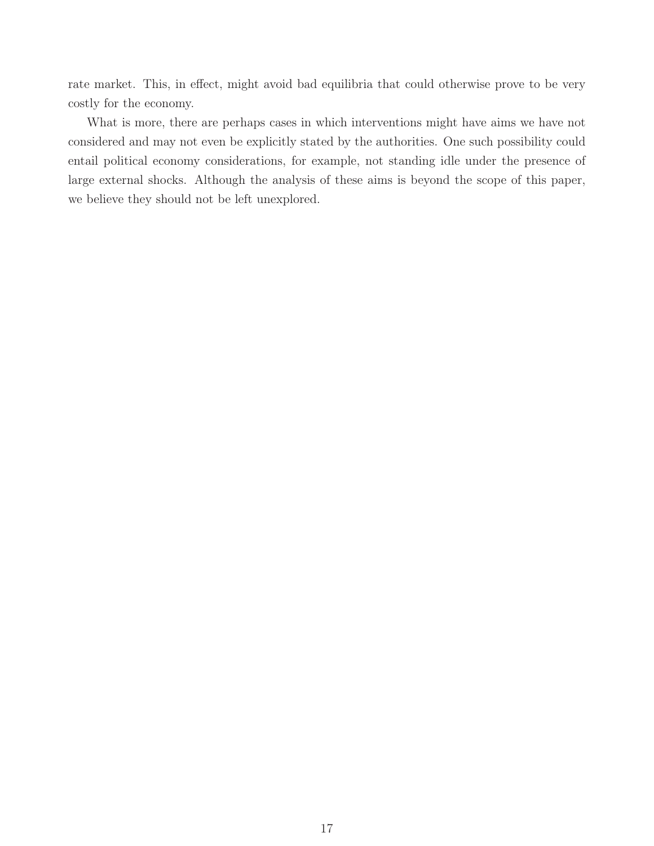rate market. This, in effect, might avoid bad equilibria that could otherwise prove to be very costly for the economy.

What is more, there are perhaps cases in which interventions might have aims we have not considered and may not even be explicitly stated by the authorities. One such possibility could entail political economy considerations, for example, not standing idle under the presence of large external shocks. Although the analysis of these aims is beyond the scope of this paper, we believe they should not be left unexplored.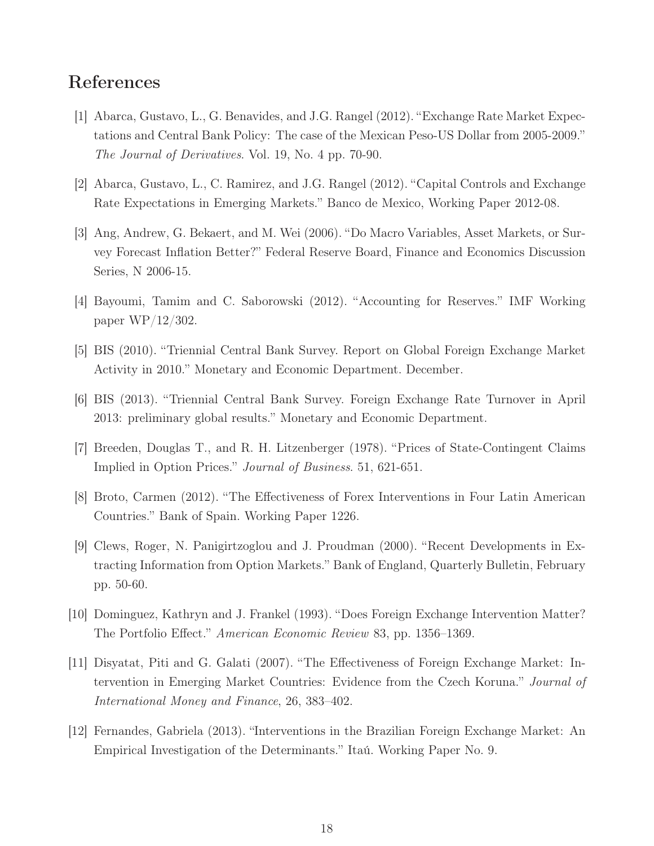## References

- [1] Abarca, Gustavo, L., G. Benavides, and J.G. Rangel (2012). "Exchange Rate Market Expectations and Central Bank Policy: The case of the Mexican Peso-US Dollar from 2005-2009." *The Journal of Derivatives*. Vol. 19, No. 4 pp. 70-90.
- [2] Abarca, Gustavo, L., C. Ramirez, and J.G. Rangel (2012). "Capital Controls and Exchange Rate Expectations in Emerging Markets." Banco de Mexico, Working Paper 2012-08.
- [3] Ang, Andrew, G. Bekaert, and M. Wei (2006). "Do Macro Variables, Asset Markets, or Survey Forecast Inflation Better?" Federal Reserve Board, Finance and Economics Discussion Series, N 2006-15.
- [4] Bayoumi, Tamim and C. Saborowski (2012). "Accounting for Reserves." IMF Working paper WP/12/302.
- [5] BIS (2010). "Triennial Central Bank Survey. Report on Global Foreign Exchange Market Activity in 2010." Monetary and Economic Department. December.
- [6] BIS (2013). "Triennial Central Bank Survey. Foreign Exchange Rate Turnover in April 2013: preliminary global results." Monetary and Economic Department.
- [7] Breeden, Douglas T., and R. H. Litzenberger (1978). "Prices of State-Contingent Claims Implied in Option Prices." *Journal of Business*. 51, 621-651.
- [8] Broto, Carmen (2012). "The Effectiveness of Forex Interventions in Four Latin American Countries." Bank of Spain. Working Paper 1226.
- [9] Clews, Roger, N. Panigirtzoglou and J. Proudman (2000). "Recent Developments in Extracting Information from Option Markets." Bank of England, Quarterly Bulletin, February pp. 50-60.
- [10] Dominguez, Kathryn and J. Frankel (1993). "Does Foreign Exchange Intervention Matter? The Portfolio Effect." *American Economic Review* 83, pp. 1356–1369.
- [11] Disyatat, Piti and G. Galati (2007). "The Effectiveness of Foreign Exchange Market: Intervention in Emerging Market Countries: Evidence from the Czech Koruna." *Journal of International Money and Finance*, 26, 383–402.
- [12] Fernandes, Gabriela (2013). "Interventions in the Brazilian Foreign Exchange Market: An Empirical Investigation of the Determinants." Itaú. Working Paper No. 9.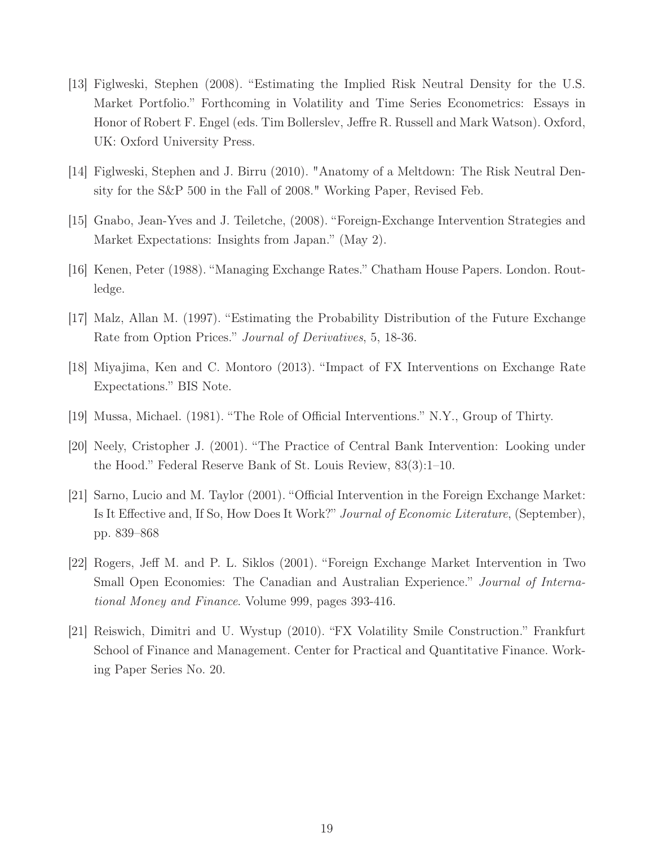- [13] Figlweski, Stephen (2008). "Estimating the Implied Risk Neutral Density for the U.S. Market Portfolio." Forthcoming in Volatility and Time Series Econometrics: Essays in Honor of Robert F. Engel (eds. Tim Bollerslev, Jeffre R. Russell and Mark Watson). Oxford, UK: Oxford University Press.
- [14] Figlweski, Stephen and J. Birru (2010). "Anatomy of a Meltdown: The Risk Neutral Density for the S&P 500 in the Fall of 2008." Working Paper, Revised Feb.
- [15] Gnabo, Jean-Yves and J. Teiletche, (2008). "Foreign-Exchange Intervention Strategies and Market Expectations: Insights from Japan." (May 2).
- [16] Kenen, Peter (1988). "Managing Exchange Rates." Chatham House Papers. London. Routledge.
- [17] Malz, Allan M. (1997). "Estimating the Probability Distribution of the Future Exchange Rate from Option Prices." *Journal of Derivatives*, 5, 18-36.
- [18] Miyajima, Ken and C. Montoro (2013). "Impact of FX Interventions on Exchange Rate Expectations." BIS Note.
- [19] Mussa, Michael. (1981). "The Role of Official Interventions." N.Y., Group of Thirty.
- [20] Neely, Cristopher J. (2001). "The Practice of Central Bank Intervention: Looking under the Hood." Federal Reserve Bank of St. Louis Review, 83(3):1–10.
- [21] Sarno, Lucio and M. Taylor (2001). "Official Intervention in the Foreign Exchange Market: Is It Effective and, If So, How Does It Work?" *Journal of Economic Literature*, (September), pp. 839–868
- [22] Rogers, Jeff M. and P. L. Siklos (2001). "Foreign Exchange Market Intervention in Two Small Open Economies: The Canadian and Australian Experience." *Journal of International Money and Finance*. Volume 999, pages 393-416.
- [21] Reiswich, Dimitri and U. Wystup (2010). "FX Volatility Smile Construction." Frankfurt School of Finance and Management. Center for Practical and Quantitative Finance. Working Paper Series No. 20.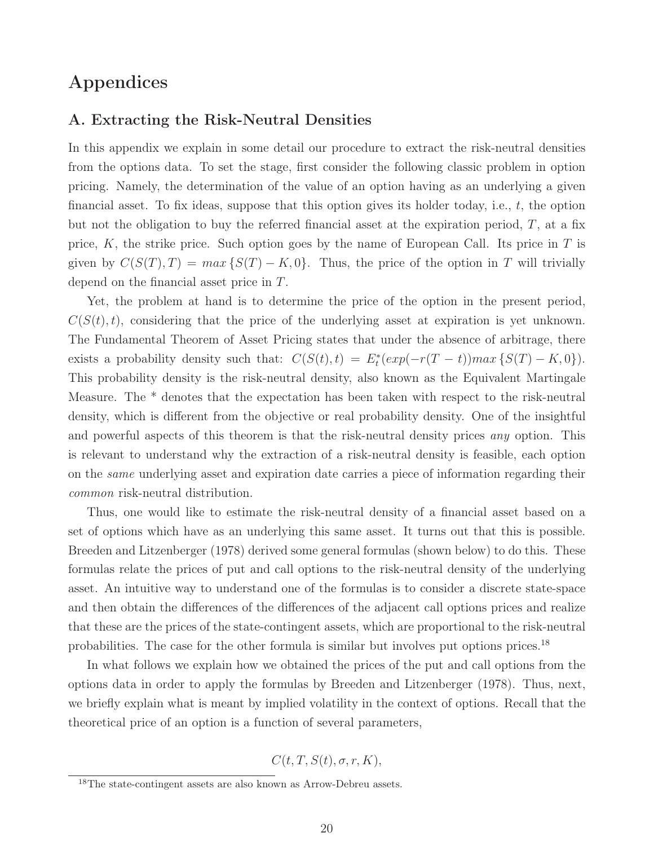# Appendices

## A. Extracting the Risk-Neutral Densities

In this appendix we explain in some detail our procedure to extract the risk-neutral densities from the options data. To set the stage, first consider the following classic problem in option pricing. Namely, the determination of the value of an option having as an underlying a given financial asset. To fix ideas, suppose that this option gives its holder today, i.e., t, the option but not the obligation to buy the referred financial asset at the expiration period,  $T$ , at a fix price, K, the strike price. Such option goes by the name of European Call. Its price in  $T$  is given by  $C(S(T), T) = max \{S(T) - K, 0\}$ . Thus, the price of the option in T will trivially depend on the financial asset price in T.

Yet, the problem at hand is to determine the price of the option in the present period,  $C(S(t), t)$ , considering that the price of the underlying asset at expiration is yet unknown. The Fundamental Theorem of Asset Pricing states that under the absence of arbitrage, there exists a probability density such that:  $C(S(t), t) = E_t^*(exp(-r(T - t))max\{S(T) - K, 0\}).$ This probability density is the risk-neutral density, also known as the Equivalent Martingale Measure. The \* denotes that the expectation has been taken with respect to the risk-neutral density, which is different from the objective or real probability density. One of the insightful and powerful aspects of this theorem is that the risk-neutral density prices *any* option. This is relevant to understand why the extraction of a risk-neutral density is feasible, each option on the *same* underlying asset and expiration date carries a piece of information regarding their *common* risk-neutral distribution.

Thus, one would like to estimate the risk-neutral density of a financial asset based on a set of options which have as an underlying this same asset. It turns out that this is possible. Breeden and Litzenberger (1978) derived some general formulas (shown below) to do this. These formulas relate the prices of put and call options to the risk-neutral density of the underlying asset. An intuitive way to understand one of the formulas is to consider a discrete state-space and then obtain the differences of the differences of the adjacent call options prices and realize that these are the prices of the state-contingent assets, which are proportional to the risk-neutral probabilities. The case for the other formula is similar but involves put options prices.<sup>18</sup>

In what follows we explain how we obtained the prices of the put and call options from the options data in order to apply the formulas by Breeden and Litzenberger (1978). Thus, next, we briefly explain what is meant by implied volatility in the context of options. Recall that the theoretical price of an option is a function of several parameters,

 $C(t, T, S(t), \sigma, r, K),$ 

<sup>18</sup>The state-contingent assets are also known as Arrow-Debreu assets.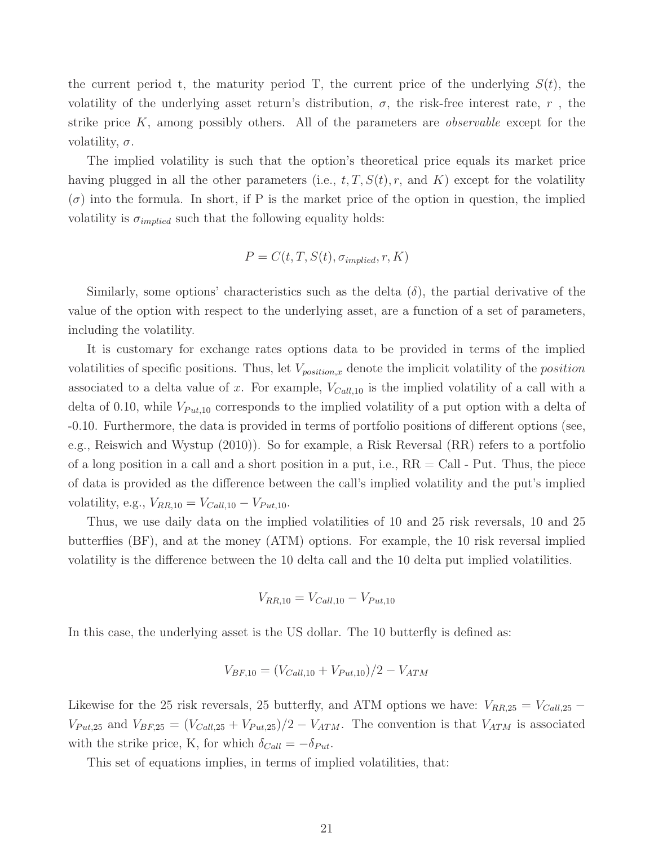the current period t, the maturity period T, the current price of the underlying  $S(t)$ , the volatility of the underlying asset return's distribution,  $\sigma$ , the risk-free interest rate, r, the strike price K, among possibly others. All of the parameters are *observable* except for the volatility,  $\sigma$ .

The implied volatility is such that the option's theoretical price equals its market price having plugged in all the other parameters (i.e.,  $t, T, S(t), r$ , and K) except for the volatility  $(\sigma)$  into the formula. In short, if P is the market price of the option in question, the implied volatility is  $\sigma_{implied}$  such that the following equality holds:

$$
P = C(t, T, S(t), \sigma_{implied}, r, K)
$$

Similarly, some options' characteristics such as the delta  $(\delta)$ , the partial derivative of the value of the option with respect to the underlying asset, are a function of a set of parameters, including the volatility.

It is customary for exchange rates options data to be provided in terms of the implied volatilities of specific positions. Thus, let  $V_{position,x}$  denote the implicit volatility of the *position* associated to a delta value of x. For example,  $V_{Call,10}$  is the implied volatility of a call with a delta of 0.10, while  $V_{Put,10}$  corresponds to the implied volatility of a put option with a delta of -0.10. Furthermore, the data is provided in terms of portfolio positions of different options (see, e.g., Reiswich and Wystup (2010)). So for example, a Risk Reversal (RR) refers to a portfolio of a long position in a call and a short position in a put, i.e.,  $RR = Call$  - Put. Thus, the piece of data is provided as the difference between the call's implied volatility and the put's implied volatility, e.g.,  $V_{RR,10} = V_{Call,10} - V_{Put,10}$ .

Thus, we use daily data on the implied volatilities of 10 and 25 risk reversals, 10 and 25 butterflies (BF), and at the money (ATM) options. For example, the 10 risk reversal implied volatility is the difference between the 10 delta call and the 10 delta put implied volatilities.

$$
V_{RR,10} = V_{Call,10} - V_{Put,10}
$$

In this case, the underlying asset is the US dollar. The 10 butterfly is defined as:

$$
V_{BF,10} = (V_{Call,10} + V_{Put,10})/2 - V_{ATM}
$$

Likewise for the 25 risk reversals, 25 butterfly, and ATM options we have:  $V_{RR,25} = V_{Call,25}$  $V_{Put,25}$  and  $V_{BF,25} = (V_{Call,25} + V_{Put,25})/2 - V_{ATM}$ . The convention is that  $V_{ATM}$  is associated with the strike price, K, for which  $\delta_{Call} = -\delta_{Put}$ .

This set of equations implies, in terms of implied volatilities, that: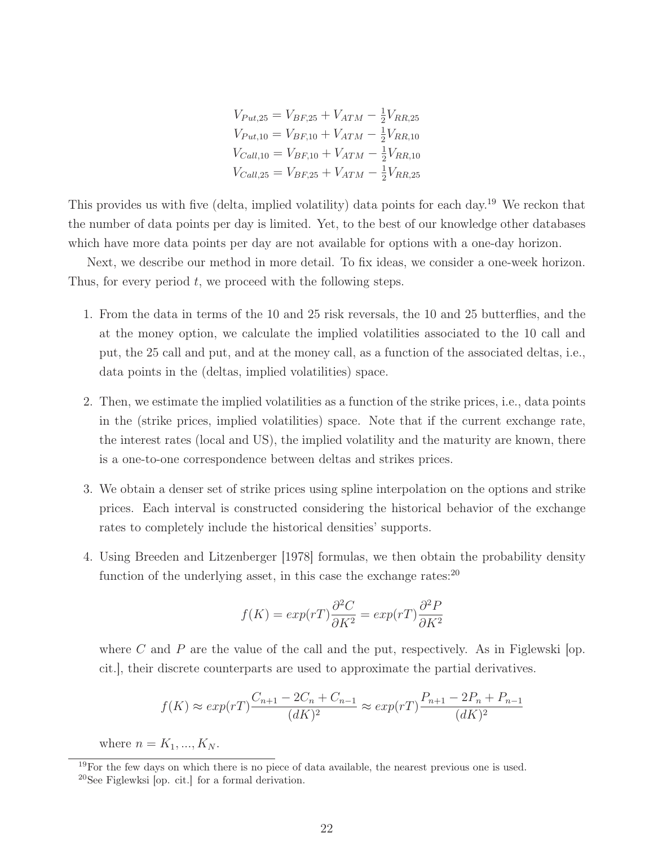$V_{Put,25} = V_{BF,25} + V_{ATM} - \frac{1}{2}V_{RR,25}$  $V_{Put,10} = V_{BF,10} + V_{ATM} - \frac{1}{2}V_{RR,10}$  $V_{Call,10} = V_{BF,10} + V_{ATM} - \frac{1}{2}V_{RR,10}$  $V_{Call,25} = V_{BF,25} + V_{ATM} - \frac{1}{2}V_{RR,25}$ 

This provides us with five (delta, implied volatility) data points for each day.<sup>19</sup> We reckon that the number of data points per day is limited. Yet, to the best of our knowledge other databases which have more data points per day are not available for options with a one-day horizon.

Next, we describe our method in more detail. To fix ideas, we consider a one-week horizon. Thus, for every period  $t$ , we proceed with the following steps.

- 1. From the data in terms of the 10 and 25 risk reversals, the 10 and 25 butterflies, and the at the money option, we calculate the implied volatilities associated to the 10 call and put, the 25 call and put, and at the money call, as a function of the associated deltas, i.e., data points in the (deltas, implied volatilities) space.
- 2. Then, we estimate the implied volatilities as a function of the strike prices, i.e., data points in the (strike prices, implied volatilities) space. Note that if the current exchange rate, the interest rates (local and US), the implied volatility and the maturity are known, there is a one-to-one correspondence between deltas and strikes prices.
- 3. We obtain a denser set of strike prices using spline interpolation on the options and strike prices. Each interval is constructed considering the historical behavior of the exchange rates to completely include the historical densities' supports.
- 4. Using Breeden and Litzenberger [1978] formulas, we then obtain the probability density function of the underlying asset, in this case the exchange rates: $^{20}$

$$
f(K) = exp(rT)\frac{\partial^2 C}{\partial K^2} = exp(rT)\frac{\partial^2 P}{\partial K^2}
$$

where C and P are the value of the call and the put, respectively. As in Figlewski  $|op.$ cit.], their discrete counterparts are used to approximate the partial derivatives.

$$
f(K) \approx exp(rT) \frac{C_{n+1} - 2C_n + C_{n-1}}{(dK)^2} \approx exp(rT) \frac{P_{n+1} - 2P_n + P_{n-1}}{(dK)^2}
$$

where  $n = K_1, ..., K_N$ .

 $19$ For the few days on which there is no piece of data available, the nearest previous one is used.  $^{20}$ See Figlewksi [op. cit.] for a formal derivation.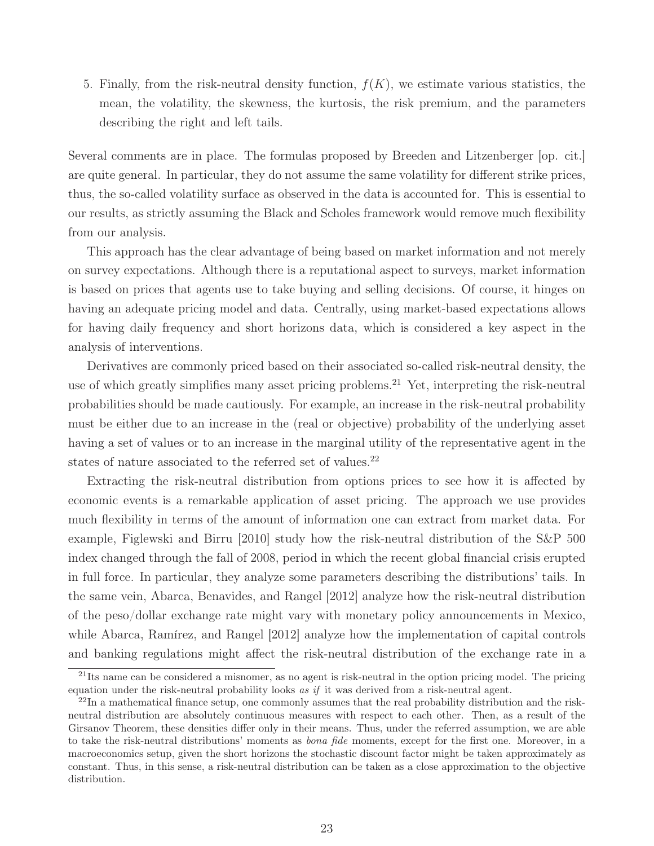5. Finally, from the risk-neutral density function,  $f(K)$ , we estimate various statistics, the mean, the volatility, the skewness, the kurtosis, the risk premium, and the parameters describing the right and left tails.

Several comments are in place. The formulas proposed by Breeden and Litzenberger [op. cit.] are quite general. In particular, they do not assume the same volatility for different strike prices, thus, the so-called volatility surface as observed in the data is accounted for. This is essential to our results, as strictly assuming the Black and Scholes framework would remove much flexibility from our analysis.

This approach has the clear advantage of being based on market information and not merely on survey expectations. Although there is a reputational aspect to surveys, market information is based on prices that agents use to take buying and selling decisions. Of course, it hinges on having an adequate pricing model and data. Centrally, using market-based expectations allows for having daily frequency and short horizons data, which is considered a key aspect in the analysis of interventions.

Derivatives are commonly priced based on their associated so-called risk-neutral density, the use of which greatly simplifies many asset pricing problems.<sup>21</sup> Yet, interpreting the risk-neutral probabilities should be made cautiously. For example, an increase in the risk-neutral probability must be either due to an increase in the (real or objective) probability of the underlying asset having a set of values or to an increase in the marginal utility of the representative agent in the states of nature associated to the referred set of values.<sup>22</sup>

Extracting the risk-neutral distribution from options prices to see how it is affected by economic events is a remarkable application of asset pricing. The approach we use provides much flexibility in terms of the amount of information one can extract from market data. For example, Figlewski and Birru [2010] study how the risk-neutral distribution of the S&P 500 index changed through the fall of 2008, period in which the recent global financial crisis erupted in full force. In particular, they analyze some parameters describing the distributions' tails. In the same vein, Abarca, Benavides, and Rangel [2012] analyze how the risk-neutral distribution of the peso/dollar exchange rate might vary with monetary policy announcements in Mexico, while Abarca, Ramírez, and Rangel [2012] analyze how the implementation of capital controls and banking regulations might affect the risk-neutral distribution of the exchange rate in a

 $^{21}$ Its name can be considered a misnomer, as no agent is risk-neutral in the option pricing model. The pricing equation under the risk-neutral probability looks as if it was derived from a risk-neutral agent.

 $^{22}$ In a mathematical finance setup, one commonly assumes that the real probability distribution and the riskneutral distribution are absolutely continuous measures with respect to each other. Then, as a result of the Girsanov Theorem, these densities differ only in their means. Thus, under the referred assumption, we are able to take the risk-neutral distributions' moments as bona fide moments, except for the first one. Moreover, in a macroeconomics setup, given the short horizons the stochastic discount factor might be taken approximately as constant. Thus, in this sense, a risk-neutral distribution can be taken as a close approximation to the objective distribution.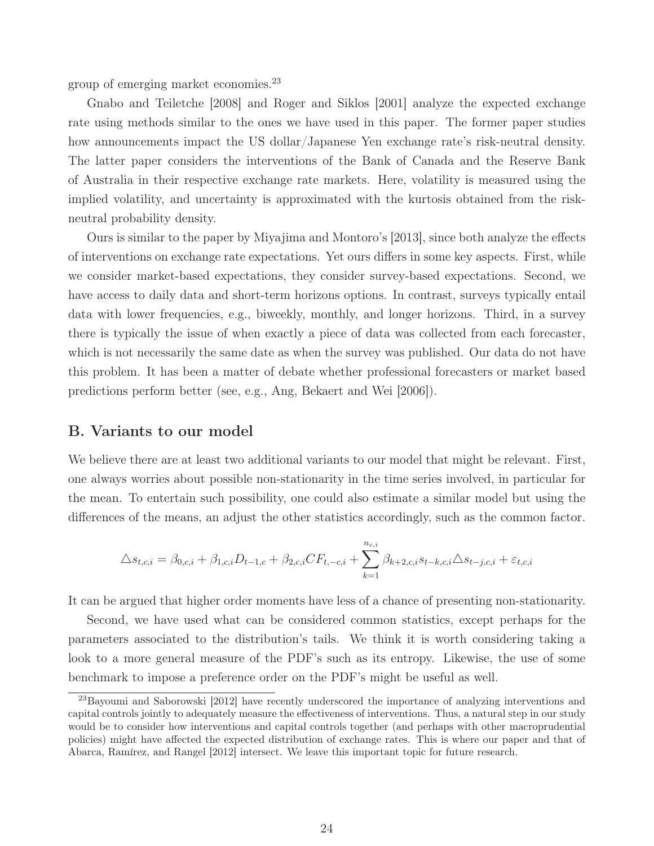group of emerging market economies.<sup>23</sup>

Gnabo and Teiletche [2008] and Roger and Siklos [2001] analyze the expected exchange rate using methods similar to the ones we have used in this paper. The former paper studies how announcements impact the US dollar/Japanese Yen exchange rate's risk-neutral density. The latter paper considers the interventions of the Bank of Canada and the Reserve Bank of Australia in their respective exchange rate markets. Here, volatility is measured using the implied volatility, and uncertainty is approximated with the kurtosis obtained from the riskneutral probability density.

Ours is similar to the paper by Miyajima and Montoro's [2013], since both analyze the effects of interventions on exchange rate expectations. Yet ours differs in some key aspects. First, while we consider market-based expectations, they consider survey-based expectations. Second, we have access to daily data and short-term horizons options. In contrast, surveys typically entail data with lower frequencies, e.g., biweekly, monthly, and longer horizons. Third, in a survey there is typically the issue of when exactly a piece of data was collected from each forecaster, which is not necessarily the same date as when the survey was published. Our data do not have this problem. It has been a matter of debate whether professional forecasters or market based predictions perform better (see, e.g., Ang, Bekaert and Wei [2006]).

#### B. Variants to our model

We believe there are at least two additional variants to our model that might be relevant. First, one always worries about possible non-stationarity in the time series involved, in particular for the mean. To entertain such possibility, one could also estimate a similar model but using the differences of the means, an adjust the other statistics accordingly, such as the common factor.

$$
\Delta s_{t,c,i} = \beta_{0,c,i} + \beta_{1,c,i} D_{t-1,c} + \beta_{2,c,i} CF_{t,-c,i} + \sum_{k=1}^{n_{c,i}} \beta_{k+2,c,i} s_{t-k,c,i} \Delta s_{t-j,c,i} + \varepsilon_{t,c,i}
$$

It can be argued that higher order moments have less of a chance of presenting non-stationarity.

Second, we have used what can be considered common statistics, except perhaps for the parameters associated to the distribution's tails. We think it is worth considering taking a look to a more general measure of the PDF's such as its entropy. Likewise, the use of some benchmark to impose a preference order on the PDF's might be useful as well.

<sup>23</sup>Bayoumi and Saborowski [2012] have recently underscored the importance of analyzing interventions and capital controls jointly to adequately measure the effectiveness of interventions. Thus, a natural step in our study would be to consider how interventions and capital controls together (and perhaps with other macroprudential policies) might have affected the expected distribution of exchange rates. This is where our paper and that of Abarca, Ramírez, and Rangel [2012] intersect. We leave this important topic for future research.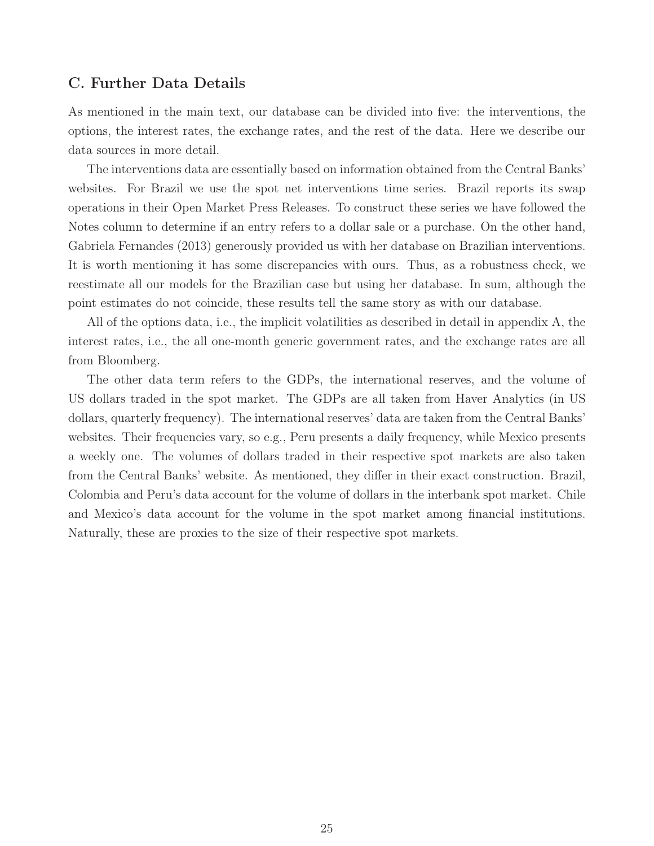### C. Further Data Details

As mentioned in the main text, our database can be divided into five: the interventions, the options, the interest rates, the exchange rates, and the rest of the data. Here we describe our data sources in more detail.

The interventions data are essentially based on information obtained from the Central Banks' websites. For Brazil we use the spot net interventions time series. Brazil reports its swap operations in their Open Market Press Releases. To construct these series we have followed the Notes column to determine if an entry refers to a dollar sale or a purchase. On the other hand, Gabriela Fernandes (2013) generously provided us with her database on Brazilian interventions. It is worth mentioning it has some discrepancies with ours. Thus, as a robustness check, we reestimate all our models for the Brazilian case but using her database. In sum, although the point estimates do not coincide, these results tell the same story as with our database.

All of the options data, i.e., the implicit volatilities as described in detail in appendix A, the interest rates, i.e., the all one-month generic government rates, and the exchange rates are all from Bloomberg.

The other data term refers to the GDPs, the international reserves, and the volume of US dollars traded in the spot market. The GDPs are all taken from Haver Analytics (in US dollars, quarterly frequency). The international reserves' data are taken from the Central Banks' websites. Their frequencies vary, so e.g., Peru presents a daily frequency, while Mexico presents a weekly one. The volumes of dollars traded in their respective spot markets are also taken from the Central Banks' website. As mentioned, they differ in their exact construction. Brazil, Colombia and Peru's data account for the volume of dollars in the interbank spot market. Chile and Mexico's data account for the volume in the spot market among financial institutions. Naturally, these are proxies to the size of their respective spot markets.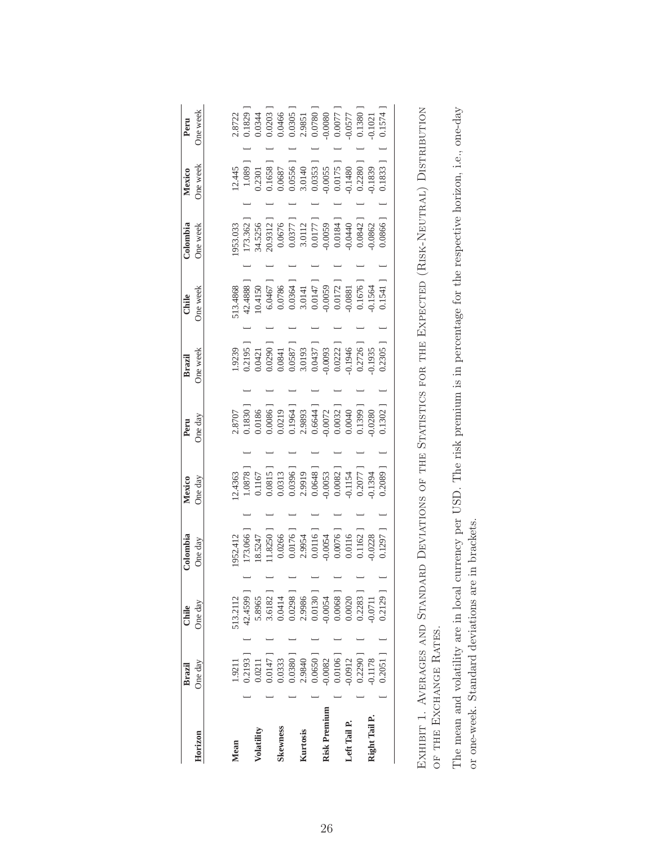|               | Brazil                 | Chile |                                                                                                                                                | Colombia                                                                                                                                                                                                                                                            | Mexico                                                                                                                                                                                                                                                             | Peru                                                                                                                                                                               | Brazil                                                                                                                                              | Chile                                                                                                                                                              | Colombia                                                                                                                                                                                                                                                                                    | Mexico                                                                                                                                | Peru                                                                                                                                                                                                                                                                 |
|---------------|------------------------|-------|------------------------------------------------------------------------------------------------------------------------------------------------|---------------------------------------------------------------------------------------------------------------------------------------------------------------------------------------------------------------------------------------------------------------------|--------------------------------------------------------------------------------------------------------------------------------------------------------------------------------------------------------------------------------------------------------------------|------------------------------------------------------------------------------------------------------------------------------------------------------------------------------------|-----------------------------------------------------------------------------------------------------------------------------------------------------|--------------------------------------------------------------------------------------------------------------------------------------------------------------------|---------------------------------------------------------------------------------------------------------------------------------------------------------------------------------------------------------------------------------------------------------------------------------------------|---------------------------------------------------------------------------------------------------------------------------------------|----------------------------------------------------------------------------------------------------------------------------------------------------------------------------------------------------------------------------------------------------------------------|
| Horizon       | One day                |       | One day                                                                                                                                        | One day                                                                                                                                                                                                                                                             | One day                                                                                                                                                                                                                                                            | One day                                                                                                                                                                            | Ine week                                                                                                                                            | Ine week                                                                                                                                                           | One week                                                                                                                                                                                                                                                                                    | One week                                                                                                                              | One week                                                                                                                                                                                                                                                             |
|               |                        |       |                                                                                                                                                |                                                                                                                                                                                                                                                                     |                                                                                                                                                                                                                                                                    |                                                                                                                                                                                    |                                                                                                                                                     |                                                                                                                                                                    |                                                                                                                                                                                                                                                                                             |                                                                                                                                       |                                                                                                                                                                                                                                                                      |
| Mean          | 1.9211                 |       | 513.2112                                                                                                                                       | 952.412                                                                                                                                                                                                                                                             | 12.4363                                                                                                                                                                                                                                                            | 2.8707                                                                                                                                                                             | 1.9239                                                                                                                                              | 13.4868                                                                                                                                                            | 953.033                                                                                                                                                                                                                                                                                     | 12.445                                                                                                                                | 2.8722                                                                                                                                                                                                                                                               |
|               | 0.2193]                |       | 42.4599                                                                                                                                        | 173.066                                                                                                                                                                                                                                                             |                                                                                                                                                                                                                                                                    | 0.1830                                                                                                                                                                             |                                                                                                                                                     |                                                                                                                                                                    |                                                                                                                                                                                                                                                                                             | 1.089                                                                                                                                 |                                                                                                                                                                                                                                                                      |
| Volatility    | 0.0211                 |       | 5.8965                                                                                                                                         |                                                                                                                                                                                                                                                                     |                                                                                                                                                                                                                                                                    |                                                                                                                                                                                    | 0.2195<br>0.0421                                                                                                                                    |                                                                                                                                                                    |                                                                                                                                                                                                                                                                                             |                                                                                                                                       |                                                                                                                                                                                                                                                                      |
|               | 0.0147                 |       |                                                                                                                                                | $\begin{array}{l} 18.5247\\ 11.8250\\ 0.0266\\ 0.0176\\ 1\\ 0.0176\\ 1\\ 0.0116\\ 0.0116\\ 0.0054\\ 0.0076\\ 1\\ 0.0116\\ 0.0116\\ 0.0116\\ 0.0116\\ 0.0116\\ 0.0116\\ 0.0116\\ 0.0116\\ 0.0116\\ 0.0116\\ 0.0116\\ 0.0116\\ 0.0116\\ 0.0116\\ 0.0116\\ 0.0116\\ 0$ | $\begin{array}{c} 1.0878\\ 0.1167\\ 0.0815\\ 0.0313\\ 0.0396\\ 0.0396\\ 0.0396\\ 0.0048\\ 1.0648\\ 0.0648\\ 0.0082\\ 1.154\\ 0.2077\\ 1.34\\ 0.1154\\ 0.0082\\ 1.154\\ 0.0008\\ 1.134\\ 0.0008\\ 1.134\\ 0.0008\\ 1.134\\ 0.0008\\ 1.134\\ 0.0008\\ 1.134\\ 0.000$ | $\begin{array}{r} 0.0186 \\ 0.0086 \\ 0.0086 \\ 0.1964 \\ 1.9644 \\ 2.9893 \\ 0.6644 \\ 0.60072 \\ 0.0032 \\ 0.0040 \\ 0.0032 \\ 0.0399 \\ 0.1399 \\ 0.1399 \\ 0.0280 \end{array}$ | $\begin{array}{l} 0.0290\\ 0.0841\\ 0.0857\\ 0.0587\\ 0.0413\\ 0.0437\\ 0.0437\\ 0.0093\\ 0.0222\\ 0.0726\\ 0.07726\\ 0.0738\\ 0.01935 \end{array}$ | $\begin{array}{l} 42.4888\\ 10.4150\\ 6.0467\\ 0.0786\\ 0.0364\\ 10.0364\\ 0.0364\\ 10.0147\\ 0.00147\\ 0.00172\\ 0.0072\\ 0.0072\\ 0.0081\\ 0.1676\, \end{array}$ | $\begin{array}{l} 173.362 \, 1 \\ 34.5256 \\ 20.9312 \, 1 \\ 0.0676 \\ 0.0377 \, 1 \\ 0.0377 \, 1 \\ 0.0177 \, 1 \\ 0.0177 \, 1 \\ 0.00184 \, 1 \\ 0.0084 \, 1 \\ 0.0084 \, 1 \\ 0.0084 \, 1 \\ 0.0084 \, 1 \\ 0.0084 \, 1 \\ 0.0084 \, 1 \\ 0.0084 \, 1 \\ 0.0084 \, 1 \\ 0.0084 \, 1 \\ $ | $\begin{array}{l} 0.2301\\ 0.1658\\ 0.0687\\ 0.0656\\ 1\\ 0.0556\\ 1\\ 0.0353\\ 1\\ 0.0353\\ 1\\ 0.0175\\ 1\\ 0.0175\\ 1 \end{array}$ | $\begin{array}{r} 0.1829\\ 0.0344\\ 0.0203\\ 0.0466\\ 0.0466\\ 0.0305\\ 1\\ 0.0351\\ 0.0305\\ 0.0007\\ 0.0007\\ 1\\ 0.0307\\ 0.0301\\ 0.0301\\ 0.0138\\ 0.1380\\ 1\\ 0.1380\\ 1\\ 0.1021\\ 0.1021\\ 0.1021\\ 0.1021\\ 0.1021\\ 0.1021\\ 0.1021\\ 0.1021\\ 0.1021\\ $ |
| Skewness      | 0.0333                 |       |                                                                                                                                                |                                                                                                                                                                                                                                                                     |                                                                                                                                                                                                                                                                    |                                                                                                                                                                                    |                                                                                                                                                     |                                                                                                                                                                    |                                                                                                                                                                                                                                                                                             |                                                                                                                                       |                                                                                                                                                                                                                                                                      |
|               |                        |       |                                                                                                                                                |                                                                                                                                                                                                                                                                     |                                                                                                                                                                                                                                                                    |                                                                                                                                                                                    |                                                                                                                                                     |                                                                                                                                                                    |                                                                                                                                                                                                                                                                                             |                                                                                                                                       |                                                                                                                                                                                                                                                                      |
| Kurtosis      | $0.0380$ ]<br>2.9840   |       |                                                                                                                                                |                                                                                                                                                                                                                                                                     |                                                                                                                                                                                                                                                                    |                                                                                                                                                                                    |                                                                                                                                                     |                                                                                                                                                                    |                                                                                                                                                                                                                                                                                             |                                                                                                                                       |                                                                                                                                                                                                                                                                      |
|               | $0.0650$ ]<br>$0.0082$ |       |                                                                                                                                                |                                                                                                                                                                                                                                                                     |                                                                                                                                                                                                                                                                    |                                                                                                                                                                                    |                                                                                                                                                     |                                                                                                                                                                    |                                                                                                                                                                                                                                                                                             |                                                                                                                                       |                                                                                                                                                                                                                                                                      |
| Risk Premium  |                        |       |                                                                                                                                                |                                                                                                                                                                                                                                                                     |                                                                                                                                                                                                                                                                    |                                                                                                                                                                                    |                                                                                                                                                     |                                                                                                                                                                    |                                                                                                                                                                                                                                                                                             |                                                                                                                                       |                                                                                                                                                                                                                                                                      |
|               | $0.0106$ ]             |       |                                                                                                                                                |                                                                                                                                                                                                                                                                     |                                                                                                                                                                                                                                                                    |                                                                                                                                                                                    |                                                                                                                                                     |                                                                                                                                                                    |                                                                                                                                                                                                                                                                                             |                                                                                                                                       |                                                                                                                                                                                                                                                                      |
| Left Tail P.  | 0.0912                 |       |                                                                                                                                                |                                                                                                                                                                                                                                                                     |                                                                                                                                                                                                                                                                    |                                                                                                                                                                                    |                                                                                                                                                     |                                                                                                                                                                    |                                                                                                                                                                                                                                                                                             |                                                                                                                                       |                                                                                                                                                                                                                                                                      |
|               | $0.2290$ ]             |       | $\begin{array}{l} 3.6182 \\ 0.0414 \\ 0.0298 \\ 2.9986 \\ 0.0130 \\ 0.0130 \\ 0.0068 \\ 0.0068 \\ 0.0020 \\ 0.0230 \\ 0.2283 \\ 1 \end{array}$ |                                                                                                                                                                                                                                                                     |                                                                                                                                                                                                                                                                    |                                                                                                                                                                                    |                                                                                                                                                     |                                                                                                                                                                    |                                                                                                                                                                                                                                                                                             | 0.2280                                                                                                                                |                                                                                                                                                                                                                                                                      |
| Right Tail P. | 0.1178                 |       |                                                                                                                                                |                                                                                                                                                                                                                                                                     |                                                                                                                                                                                                                                                                    |                                                                                                                                                                                    |                                                                                                                                                     |                                                                                                                                                                    |                                                                                                                                                                                                                                                                                             |                                                                                                                                       |                                                                                                                                                                                                                                                                      |
|               | 0.2051                 |       | 0.2129                                                                                                                                         | 0.1297]                                                                                                                                                                                                                                                             | $0.2089$ ]                                                                                                                                                                                                                                                         | $0.1302$ <sup>1</sup>                                                                                                                                                              | 0.2305                                                                                                                                              | $0.1541$ ]                                                                                                                                                         | 0.0866                                                                                                                                                                                                                                                                                      | 0.1833]                                                                                                                               | 0.1574                                                                                                                                                                                                                                                               |
|               |                        |       |                                                                                                                                                |                                                                                                                                                                                                                                                                     |                                                                                                                                                                                                                                                                    |                                                                                                                                                                                    |                                                                                                                                                     |                                                                                                                                                                    |                                                                                                                                                                                                                                                                                             |                                                                                                                                       |                                                                                                                                                                                                                                                                      |

| しょうこく こくさい<br>rence the min liver<br>$\ddot{\dot{}}$<br>こうしょう こうこう<br> <br> <br> <br> <br>Ĩ<br>ו<br>ג<br>$\frac{1}{2}$<br><b>IVERAGES AND STAND.</b><br>$\sum$<br>ļ<br>$\ddot{\phantom{0}}$<br>$\overline{\phantom{a}}$<br>I<br>$\ddotsc$<br>$\frac{1}{2}$<br>ļ | ļ<br>l<br>י<br>י |
|-----------------------------------------------------------------------------------------------------------------------------------------------------------------------------------------------------------------------------------------------------------------|------------------|
| OF THE EXCHANGE K                                                                                                                                                                                                                                               |                  |

The mean and volatility are in local currency per USD. The risk premium is in percentage for the respective horizon, i.e., one-day The mean and volatility are in local currency per USD. The risk premium is in percentage for the respective horizon, i.e., one-day or one-week. Standard deviations are in brackets. or one-week. Standard deviations are in brackets.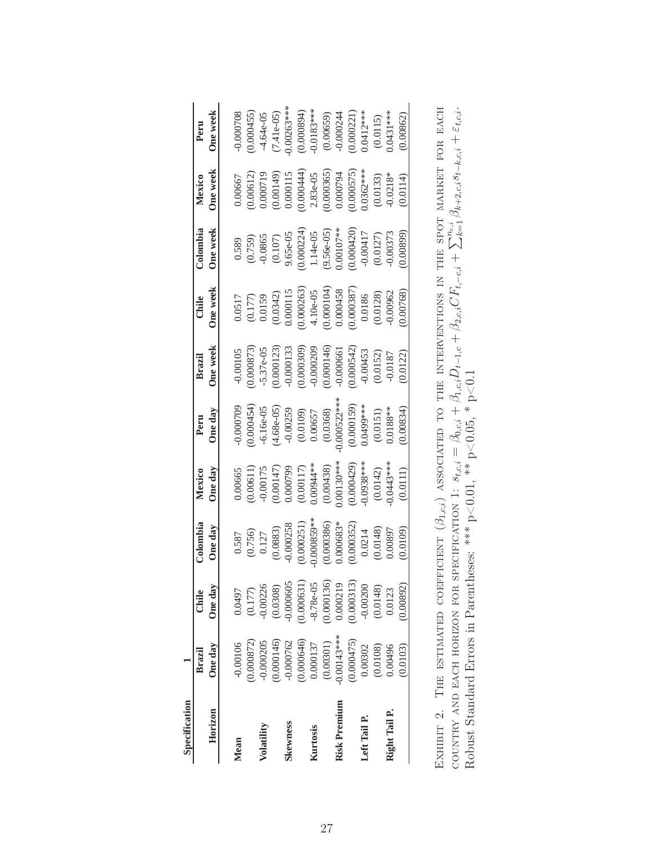| Specification |              |             |                                                             |                                                             |                                                                                                                                                      |                                                                                                                                                      |                                                                                                                                                    |                                                                                                                                                                                                                                               |                                                                                                                                                 |                             |
|---------------|--------------|-------------|-------------------------------------------------------------|-------------------------------------------------------------|------------------------------------------------------------------------------------------------------------------------------------------------------|------------------------------------------------------------------------------------------------------------------------------------------------------|----------------------------------------------------------------------------------------------------------------------------------------------------|-----------------------------------------------------------------------------------------------------------------------------------------------------------------------------------------------------------------------------------------------|-------------------------------------------------------------------------------------------------------------------------------------------------|-----------------------------|
|               | Brazil       | Chile       | Colombia                                                    | Mexico                                                      | Peru                                                                                                                                                 | <b>Brazil</b>                                                                                                                                        | Chile                                                                                                                                              | Colombia                                                                                                                                                                                                                                      | Mexico                                                                                                                                          | Peru                        |
| Horizon       | One day      | One day     | One day                                                     | One day                                                     | One day                                                                                                                                              | One week                                                                                                                                             | One week                                                                                                                                           | One week                                                                                                                                                                                                                                      | One week                                                                                                                                        | One week                    |
| Mean          | $-0.00106$   | 0.0497      |                                                             | 0.00665                                                     | 0.00070                                                                                                                                              | $-0.00105$                                                                                                                                           |                                                                                                                                                    |                                                                                                                                                                                                                                               | 0.00667                                                                                                                                         | 0.000708                    |
|               | 0.000872)    | (0.177)     | $0.587$<br>$(0.756)$<br>$0.127$<br>$(0.0883)$<br>$(0.0883)$ | (0.00611                                                    | 0.000454                                                                                                                                             | 0.000873                                                                                                                                             | $\begin{array}{c} 0.0517 \\ (0.177) \\ 0.0159 \end{array}$                                                                                         | $\begin{array}{l} 0.589 \\ (0.759) \\ -0.0865 \\ (0.107) \\ (0.000224) \\ (0.000224) \\ 1.14 \text{--} 05 \\ (0.56 \text{--} 05) \\ (0.00107^{**} \\ (0.000420) \\ (0.000420) \\ (0.00127) \\ 0.00417 \\ (0.0127) \\ -0.00373 \\ \end{array}$ |                                                                                                                                                 | 0.000455                    |
| Volatility    | 0.000205     | $-0.00226$  |                                                             | $-0.00175$                                                  | $-6.16e-05$                                                                                                                                          | $-5.37e-05$                                                                                                                                          |                                                                                                                                                    |                                                                                                                                                                                                                                               | $(0.00612)$<br>$0.000719$                                                                                                                       | $-4.64e-05$                 |
|               | 0.000146)    | (0.0308)    |                                                             |                                                             |                                                                                                                                                      |                                                                                                                                                      |                                                                                                                                                    |                                                                                                                                                                                                                                               |                                                                                                                                                 | $(7.41e-05)$                |
| Skewness      | $-0.000762$  | 0.000605    |                                                             | $(0.00147)$<br>0.000799                                     | $(4.68e-05)\\ -0.00259\\ 0.00109)\\ 0.00657\\ 0.00657\\ 0.00368)\\ 0.000522***\\ 0.000159)\\ 0.000159)\\ 0.00159)\\ 0.0151)\\ 0.0188***\\ 0.0188***$ | $\begin{array}{l} (0.000123) \\ -0.000133 \\ (0.000309) \\ -0.000209 \\ (0.000146) \\ -0.000661 \\ -0.000642) \\ (0.000542) \\ -0.00453 \end{array}$ | $\begin{array}{l} (0.0342) \\ 0.000115 \\ (0.000263) \\ (1.00-035) \\ (1.00-05) \\ (0.000104) \\ (0.000458 \\ (0.000387) \\ (0.00387) \end{array}$ |                                                                                                                                                                                                                                               | $\begin{array}{l} (0.00149) \\ 0.000115 \\ (0.000444) \\ 2.83 \text{e-}05 \\ (0.000365) \\ (0.000794 \\ (0.000794 \\ (0.000575) \\ \end{array}$ | $0.00263***$                |
|               | 0.000646)    | 0.000631    | $(0.000251)$<br>0.000859**                                  | $(0.00117)$<br>$0.00944**$                                  |                                                                                                                                                      |                                                                                                                                                      |                                                                                                                                                    |                                                                                                                                                                                                                                               |                                                                                                                                                 | $(0.000894)$<br>-0.0183***  |
| Kurtosis      | 0.000137     | $-8.78e-05$ |                                                             |                                                             |                                                                                                                                                      |                                                                                                                                                      |                                                                                                                                                    |                                                                                                                                                                                                                                               |                                                                                                                                                 |                             |
|               | (0.00301)    | 0.000136    | $(0.000386)$<br>$0.000683*$                                 | $(0.00438)$<br>$0.00130***$<br>$(0.000429)$<br>$(0.000429)$ |                                                                                                                                                      |                                                                                                                                                      |                                                                                                                                                    |                                                                                                                                                                                                                                               |                                                                                                                                                 | $(0.00659)$<br>$-0.000244$  |
| Risk Premium  | $0.00143***$ | 0.000219    |                                                             |                                                             |                                                                                                                                                      |                                                                                                                                                      |                                                                                                                                                    |                                                                                                                                                                                                                                               |                                                                                                                                                 |                             |
|               | 0.000475     | (0.000313)  |                                                             |                                                             |                                                                                                                                                      |                                                                                                                                                      |                                                                                                                                                    |                                                                                                                                                                                                                                               |                                                                                                                                                 | $(0.000221)$<br>$0.0412***$ |
| Left Tail P.  | 0.00302      | $-0.00200$  | $(0.000352)$ $0.0214$                                       |                                                             |                                                                                                                                                      |                                                                                                                                                      |                                                                                                                                                    |                                                                                                                                                                                                                                               |                                                                                                                                                 |                             |
|               | (0.0108)     | (0.0148)    | $(0.0148)$<br>0.00897                                       | (0.0142)                                                    |                                                                                                                                                      | $(0.0152)$<br>$-0.0187$                                                                                                                              | $(0.0128)$<br>$-0.00962$                                                                                                                           |                                                                                                                                                                                                                                               | $(0.0133)$<br>$-0.0218*$                                                                                                                        | (0.0115)                    |
| Right Tail P. | 0.00496      | 0.0123      |                                                             | $0.0443***$                                                 |                                                                                                                                                      |                                                                                                                                                      |                                                                                                                                                    |                                                                                                                                                                                                                                               |                                                                                                                                                 | $0.0431***$                 |
|               | 0.0103       | 0.00892)    | 0.0109                                                      | (0.0111)                                                    | 0.00834                                                                                                                                              | 0.0122                                                                                                                                               | 0.00768                                                                                                                                            | 0.00899                                                                                                                                                                                                                                       | (0.0114)                                                                                                                                        | 0.00862                     |
|               |              |             |                                                             |                                                             |                                                                                                                                                      |                                                                                                                                                      |                                                                                                                                                    |                                                                                                                                                                                                                                               |                                                                                                                                                 |                             |

EXHIBIT 2. THE ESTIMATED COEFFICIENT  $(\beta_{1,c,i})$  associated to the interventions in the spot market for each COUNTRY AND EACH HORIZON FOR SPECIFICATION 1:  $s_{t,c,i} = \beta_{0,c,i} + \beta_{1,c,i}D_{t-1,c} + \beta_{2,c,i}CF_{t,-c,i} + \sum_{k=1}^{n_{c,i}} \beta_{k+2,c,i}s_{t-k,i} + \varepsilon_{t,c,i}$ .<br>Robust Standard Errors in Parentheses: \*\*\* p<0.01, \*\* p<0.05, \* p<0.1 Exhibit 2. The estimated coefficient  $(\beta_{1,c,i})$  associated to the interventions in the spot market for each country and each horizon for specification 1:  $s_{t,c,i} = \beta_{0,c,i} + \beta_{1,c,i} D_{t-1,c} + \beta_{2,c,i} CF_{t,-c,i} + \sum_{k=1}^{n_{c,i}} \beta_{k+2,c,i}s_{t-k,c,i} + \varepsilon_{t,c,i}.$ Robust Standard Errors in Parentheses: \*\*\*  $p<0.01$ , \*\*  $p<0.05$ , \*  $p<0.1$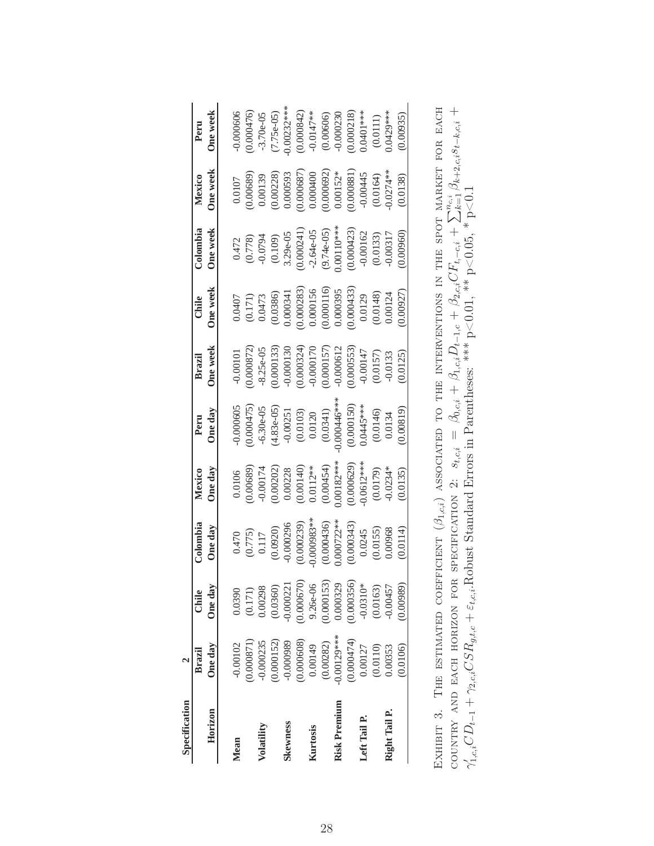| Specification |            |              |                                                              |                                                                                                                                             |                                                                                                                               |                                                                                                                                                                               |                                                                                                                                                                                                          |                                                                                                                                                                          |                                                                                                                                                                                     |                                                     |
|---------------|------------|--------------|--------------------------------------------------------------|---------------------------------------------------------------------------------------------------------------------------------------------|-------------------------------------------------------------------------------------------------------------------------------|-------------------------------------------------------------------------------------------------------------------------------------------------------------------------------|----------------------------------------------------------------------------------------------------------------------------------------------------------------------------------------------------------|--------------------------------------------------------------------------------------------------------------------------------------------------------------------------|-------------------------------------------------------------------------------------------------------------------------------------------------------------------------------------|-----------------------------------------------------|
|               | Brazil     | Chile        | Colombia                                                     | Mexico                                                                                                                                      | Peru                                                                                                                          | Brazil                                                                                                                                                                        | Chile                                                                                                                                                                                                    | Colombia                                                                                                                                                                 | Mexico                                                                                                                                                                              | Peru                                                |
| Horizon       | One day    | One day      | One day                                                      | One day                                                                                                                                     | One day                                                                                                                       | One week                                                                                                                                                                      | One week                                                                                                                                                                                                 | One week                                                                                                                                                                 | One week                                                                                                                                                                            | One week                                            |
| Mean          | $-0.00102$ | 0.0390       |                                                              | 0.0106                                                                                                                                      | 0.000605                                                                                                                      | $-0.00101$                                                                                                                                                                    |                                                                                                                                                                                                          |                                                                                                                                                                          | 0.0107                                                                                                                                                                              | 0.000606                                            |
|               | 1.000871   | (0.171)      | $0.470$<br>$(0.775)$<br>$0.117$<br>$(0.0920)$<br>$-0.000296$ | (0.00689)                                                                                                                                   | 0.000475                                                                                                                      | 0.000872                                                                                                                                                                      | $\begin{array}{l} 0.0407\\ 0.0171)\\ 0.0473\\ 0.0386)\\ 0.000341\\ 0.000333)\\ 0.000156\\ 0.000116)\\ 0.000116)\\ 0.000395\\ 0.000395\\ 0.000433)\\ 0.0148)\\ 0.0148)\\ 0.00124\\ 0.00124\\ \end{array}$ | $\begin{array}{l} 0.472 \\ 0.778) \\ -0.0794 \\ 0.109) \\ 0.000241) \\ 0.000241) \\ -2.64e-05 \\ 0.0110*** \\ 0.0110*** \\ 0.000423) \\ -0.00162 \\ 0.00333 \end{array}$ | (0.00689)                                                                                                                                                                           | 0.000476                                            |
| Volatility    | 0.000235   | 0.00298      |                                                              | $-0.00174$                                                                                                                                  | $-6.30e-0.5$                                                                                                                  | $-8.25e-05$                                                                                                                                                                   |                                                                                                                                                                                                          |                                                                                                                                                                          | 0.00139                                                                                                                                                                             | $-3.70e-0.5$                                        |
|               | 0.000152   | (0.0360)     |                                                              |                                                                                                                                             | $\begin{array}{c} (4.83\text{e-05}) \\ -0.00251 \\ (0.0103) \\ (0.0103) \\ 0.0120 \\ (0.0341) \\ (0.00446^{***}) \end{array}$ |                                                                                                                                                                               |                                                                                                                                                                                                          |                                                                                                                                                                          |                                                                                                                                                                                     |                                                     |
| Skewness      | -0.000989  | 0.000221     |                                                              |                                                                                                                                             |                                                                                                                               |                                                                                                                                                                               |                                                                                                                                                                                                          |                                                                                                                                                                          |                                                                                                                                                                                     | $(7.75e-05)$<br>0.00232***                          |
|               | 0.000608)  | 0.000670     | $(0.000239)$<br>$0.000983**$                                 | $\begin{array}{c} (0.00202) \\ 0.00228 \\ (0.00140) \\ 0.0112^{***} \\ 0.0112^{***} \\ (0.00454) \\ (0.00454) \\ 0.00182^{***} \end{array}$ |                                                                                                                               |                                                                                                                                                                               |                                                                                                                                                                                                          |                                                                                                                                                                          |                                                                                                                                                                                     |                                                     |
| Kurtosis      | 0.00149    | $9.26e - 06$ |                                                              |                                                                                                                                             |                                                                                                                               |                                                                                                                                                                               |                                                                                                                                                                                                          |                                                                                                                                                                          |                                                                                                                                                                                     |                                                     |
|               | (0.00282)  | 0.000153)    |                                                              |                                                                                                                                             |                                                                                                                               |                                                                                                                                                                               |                                                                                                                                                                                                          |                                                                                                                                                                          |                                                                                                                                                                                     | $(0.000842)$<br>-0.0147**<br>(0.00606)<br>(0.000230 |
| Risk Premium  | 0.00129*** | 0.000329     | $(0.000436)$<br>$0.000722**$                                 |                                                                                                                                             |                                                                                                                               |                                                                                                                                                                               |                                                                                                                                                                                                          |                                                                                                                                                                          |                                                                                                                                                                                     |                                                     |
|               | 0.000474)  | (0.000356)   |                                                              |                                                                                                                                             |                                                                                                                               |                                                                                                                                                                               |                                                                                                                                                                                                          |                                                                                                                                                                          |                                                                                                                                                                                     | $(0.000218)$<br>$0.0401***$                         |
| Left Tail P.  | 0.00127    | $-0.0310*$   | $(0.000343)$<br>$0.0245$                                     |                                                                                                                                             |                                                                                                                               |                                                                                                                                                                               |                                                                                                                                                                                                          |                                                                                                                                                                          |                                                                                                                                                                                     |                                                     |
|               | (0.0110)   | (0.0163)     | $(0.0155)$<br>$0.00968$                                      | $(0.000629)$<br>$0.0612***$<br>$(0.0179)$<br>$-0.0234*$                                                                                     | $\begin{array}{c} (0.000150) \\ 0.0445*** \\ (0.0146) \\ (0.0146) \\ \end{array}$                                             | $\begin{array}{l} (0.000133) \\ -0.000130 \\ 0.000324) \\ -0.000170 \\ (0.000157) \\ -0.000612 \\ -0.000533) \\ (0.00533) \\ -0.00147 \\ (0.0157) \\ -0.0157) \\ \end{array}$ |                                                                                                                                                                                                          |                                                                                                                                                                          | $\begin{array}{l} (0.00228) \\ 0.000593 \\ 0.000687) \\ 0.000400 \\ 0.000692) \\ 0.00152^{*} \\ (0.00152^{*}) \\ (0.00152^{*}) \\ (0.00164) \\ (0.0164) \\ (0.0164) \\ \end{array}$ | (0.0111)                                            |
| Right Tail P. | 0.00353    | 0.00457      |                                                              |                                                                                                                                             |                                                                                                                               |                                                                                                                                                                               |                                                                                                                                                                                                          |                                                                                                                                                                          |                                                                                                                                                                                     | $0.0429***$                                         |
|               | 0.0106     | 0.00989)     | (0.0114)                                                     | 0.0135                                                                                                                                      | 0.00819                                                                                                                       | (0.0125)                                                                                                                                                                      | 1.00927                                                                                                                                                                                                  | 0.00960                                                                                                                                                                  | (0.0138)                                                                                                                                                                            | 0.00935                                             |
|               |            |              |                                                              |                                                                                                                                             |                                                                                                                               |                                                                                                                                                                               |                                                                                                                                                                                                          |                                                                                                                                                                          |                                                                                                                                                                                     |                                                     |

Exhibit 3. The estimated coefficient  $(\beta_{1,c,i})$  associated to the interventions in the spot market for each COUNTRY AND EACH HORIZON FOR SPECIFICATION 2:  $s_{t,c,i} = \beta_{0,c,i} + \beta_{1,c,i}D_{t-1,c} + \beta_{2,c,i}CF_{t,-c,i} + \sum_{k=1}^{n_{ci}}\beta_{k+2,c,i}s_{t-k,c,i} +$ EXHIBIT 3. THE ESTIMATED COEFFICIENT  $(\beta_{1,c,i})$  ASSOCIATED TO THE INTERVENTIONS IN THE SPOT MARKET FOR EACH<br>cOUNTRY AND EACH HORIZON FOR SPECIFICATION 2:  $s_{t,c,i} = \beta_{0,c,i} + \beta_{1,c,i}D_{t-1,c} + \beta_{2,c,i}CF_{t,-c,i} + \sum_{i=1}^{n_{c,i}} \beta_{k+2,c,i}s$  $1_{c,i}CD_{t-1} + \gamma_{2,c,i}CSR_{g,t,c} + \varepsilon_{t,c,i}$ .Robust Standard Errors in Parentheses: \*\*\* p<0.01, \*\* p<0.05, \* p<0.1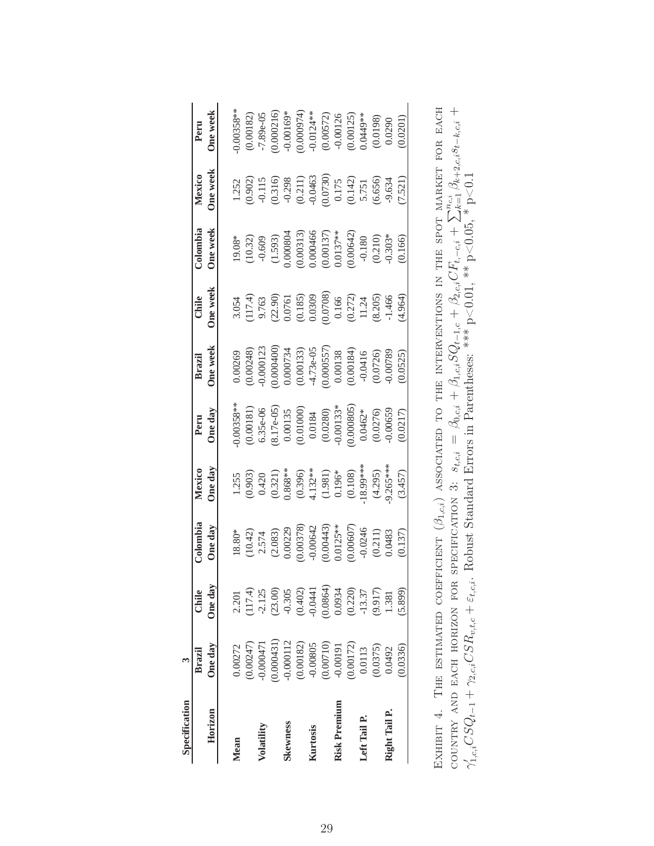| Specification  |                         |                                                                                                                            |                                                                                                                                                                                                                                                                                                                 |                                                                                                           |                                                                                                                                                                                                                                                                                                                       |                                                                                                                                                                              |                                                                                                                                                                             |                                                                                                                                                                                                                               |                                                                                                                                                     |                                                                                                                                              |
|----------------|-------------------------|----------------------------------------------------------------------------------------------------------------------------|-----------------------------------------------------------------------------------------------------------------------------------------------------------------------------------------------------------------------------------------------------------------------------------------------------------------|-----------------------------------------------------------------------------------------------------------|-----------------------------------------------------------------------------------------------------------------------------------------------------------------------------------------------------------------------------------------------------------------------------------------------------------------------|------------------------------------------------------------------------------------------------------------------------------------------------------------------------------|-----------------------------------------------------------------------------------------------------------------------------------------------------------------------------|-------------------------------------------------------------------------------------------------------------------------------------------------------------------------------------------------------------------------------|-----------------------------------------------------------------------------------------------------------------------------------------------------|----------------------------------------------------------------------------------------------------------------------------------------------|
|                | Brazil                  | Chile                                                                                                                      | Colombia                                                                                                                                                                                                                                                                                                        | Mexico                                                                                                    | Peru                                                                                                                                                                                                                                                                                                                  | Brazil                                                                                                                                                                       | Chile                                                                                                                                                                       | Colombia                                                                                                                                                                                                                      | Mexico                                                                                                                                              | Peru                                                                                                                                         |
| Horizon        | One day                 | One day                                                                                                                    | One day                                                                                                                                                                                                                                                                                                         | One day                                                                                                   | One day                                                                                                                                                                                                                                                                                                               | <b>One week</b>                                                                                                                                                              | One week                                                                                                                                                                    | One week                                                                                                                                                                                                                      | One week                                                                                                                                            | One week                                                                                                                                     |
| Mean           | 0.00272                 | 2.201                                                                                                                      |                                                                                                                                                                                                                                                                                                                 |                                                                                                           | $0.00358*$                                                                                                                                                                                                                                                                                                            | 0.00269                                                                                                                                                                      |                                                                                                                                                                             |                                                                                                                                                                                                                               |                                                                                                                                                     | $0.00358*$                                                                                                                                   |
|                | 0.00247)                |                                                                                                                            | $\begin{array}{l} 18.80^{*} \\ (10.42) \\ 2.574 \\ (2.083) \\ (0.00229) \\ (0.00378) \\ (0.00443) \\ (0.00642) \\ (0.00443) \\ (0.00607) \\ (0.00607) \\ (0.211) \\ (0.211) \\ (0.211) \\ (0.211) \\ (0.212) \\ (0.213) \\ (0.213) \\ (0.213) \\ (0.213) \\ (0.213) \\ (0.213) \\ (0.213) \\ (0.213) \\ (0.213$ | 1.255<br>(0.903)<br>(0.420)<br>0.421)<br>0.4231<br>0.396<br>0.196*<br>1.395<br>1.395<br>1.295)<br>(4.295) |                                                                                                                                                                                                                                                                                                                       | (0.00248)                                                                                                                                                                    | $\begin{array}{l} 3.054 \\ (117.4) \\ 9.763 \\ (22.90) \\ 0.0761 \\ (0.185) \\ 0.0309 \\ (0.0309) \\ 0.0000 \\ (0.272) \\ 1.24 \\ (8.205) \\ (8.205) \\ -1.466 \end{array}$ | $\begin{array}{l} 19.08* \\ (10.32) \\ -0.609 \\ (1.593) \\ 0.000804 \\ (0.0313) \\ 0.000466 \\ (0.00137)^* \\ (0.0047) \\ -0.180 \\ (0.210) \\ 0.0042) \\ -0.180 \\ (0.210) \\ 0.00442 \\ -0.303* \\ -0.303* \\ \end{array}$ | 1.252<br>$(0.902)$<br>$-0.115$<br>$-0.115$<br>$-0.298$<br>$-0.298$<br>$-0.2463$<br>$-0.0463$<br>$0.175$<br>$0.175$<br>$0.175$<br>$0.175$<br>$0.665$ | (0.00182)                                                                                                                                    |
| Volatility     | 0.000471                | $(117.4)$<br>-2.125                                                                                                        |                                                                                                                                                                                                                                                                                                                 |                                                                                                           |                                                                                                                                                                                                                                                                                                                       | 0.000123                                                                                                                                                                     |                                                                                                                                                                             |                                                                                                                                                                                                                               |                                                                                                                                                     | $-7.89e-05$                                                                                                                                  |
|                | 0.000431                |                                                                                                                            |                                                                                                                                                                                                                                                                                                                 |                                                                                                           | $\begin{array}{l} (0.00181) \\ 6.35\text{e-06} \\ (8.17\text{e-05}) \\ 0.00135 \\ (0.01000) \\ (0.0184) \\ (0.0280) \\ (0.0280) \\ (0.00805) \\ (0.0065^*) \\ (0.0065^*) \\ (0.0065^*) \\ (0.0065^*) \\ (0.0065^*) \\ (0.0065^*) \\ (0.0065^*) \\ (0.0065^*) \\ (0.0065^*) \\ (0.0065^*) \\ (0.0065^*) \\ (0.0065^*)$ |                                                                                                                                                                              |                                                                                                                                                                             |                                                                                                                                                                                                                               |                                                                                                                                                     |                                                                                                                                              |
| <b>kewness</b> | 0.000112                |                                                                                                                            |                                                                                                                                                                                                                                                                                                                 |                                                                                                           |                                                                                                                                                                                                                                                                                                                       |                                                                                                                                                                              |                                                                                                                                                                             |                                                                                                                                                                                                                               |                                                                                                                                                     | $0.000216$<br>$-0.00169*$                                                                                                                    |
|                | $(0.00182)$<br>-0.00805 | $\begin{array}{l} (23.00) \\ -0.305 \\ (0.402) \\ -0.0441 \\ 0.0864) \\ 0.0854 \\ 0.0934 \\ (0.220) \\ -13.37 \end{array}$ |                                                                                                                                                                                                                                                                                                                 |                                                                                                           |                                                                                                                                                                                                                                                                                                                       | $\begin{array}{l} 0.000400) \\ 0.000734 \\ (0.00133) \\ -4.73 \text{e}{-} 05 \\ (0.00557) \\ 0.00138 \\ (0.00184) \\ (0.00184) \\ -0.0416 \\ (0.0726) \\ 0.0789 \end{array}$ |                                                                                                                                                                             |                                                                                                                                                                                                                               |                                                                                                                                                     |                                                                                                                                              |
| Kurtosis       |                         |                                                                                                                            |                                                                                                                                                                                                                                                                                                                 |                                                                                                           |                                                                                                                                                                                                                                                                                                                       |                                                                                                                                                                              |                                                                                                                                                                             |                                                                                                                                                                                                                               |                                                                                                                                                     |                                                                                                                                              |
|                | (0.00710)               |                                                                                                                            |                                                                                                                                                                                                                                                                                                                 |                                                                                                           |                                                                                                                                                                                                                                                                                                                       |                                                                                                                                                                              |                                                                                                                                                                             |                                                                                                                                                                                                                               |                                                                                                                                                     | $\begin{array}{l} 0.00974) \\ -0.0124** \\ (0.00572) \\ -0.00126 \\ (0.00125) \\ (0.00125) \\ (0.00135) \\ (0.0198) \\ (0.0198) \end{array}$ |
| Risk Premium   | -0.00191                |                                                                                                                            |                                                                                                                                                                                                                                                                                                                 |                                                                                                           |                                                                                                                                                                                                                                                                                                                       |                                                                                                                                                                              |                                                                                                                                                                             |                                                                                                                                                                                                                               |                                                                                                                                                     |                                                                                                                                              |
|                | 0.00172                 |                                                                                                                            |                                                                                                                                                                                                                                                                                                                 |                                                                                                           |                                                                                                                                                                                                                                                                                                                       |                                                                                                                                                                              |                                                                                                                                                                             |                                                                                                                                                                                                                               |                                                                                                                                                     |                                                                                                                                              |
| Left Tail P.   | 0.0113                  |                                                                                                                            |                                                                                                                                                                                                                                                                                                                 |                                                                                                           |                                                                                                                                                                                                                                                                                                                       |                                                                                                                                                                              |                                                                                                                                                                             |                                                                                                                                                                                                                               |                                                                                                                                                     |                                                                                                                                              |
|                | (0.0375)                | (9.917)                                                                                                                    |                                                                                                                                                                                                                                                                                                                 |                                                                                                           |                                                                                                                                                                                                                                                                                                                       |                                                                                                                                                                              |                                                                                                                                                                             |                                                                                                                                                                                                                               |                                                                                                                                                     |                                                                                                                                              |
| Right Tail P.  | 0.0492                  | 1.381                                                                                                                      |                                                                                                                                                                                                                                                                                                                 | $9.265***$                                                                                                |                                                                                                                                                                                                                                                                                                                       |                                                                                                                                                                              |                                                                                                                                                                             |                                                                                                                                                                                                                               |                                                                                                                                                     |                                                                                                                                              |
|                | 0.0336                  | 5.899)                                                                                                                     | (0.137)                                                                                                                                                                                                                                                                                                         | (3.457)                                                                                                   | (0.0217)                                                                                                                                                                                                                                                                                                              | 0.0525                                                                                                                                                                       | (4.964)                                                                                                                                                                     | 0.166                                                                                                                                                                                                                         | 7.521                                                                                                                                               | 0.0201                                                                                                                                       |
|                |                         |                                                                                                                            |                                                                                                                                                                                                                                                                                                                 |                                                                                                           |                                                                                                                                                                                                                                                                                                                       |                                                                                                                                                                              |                                                                                                                                                                             |                                                                                                                                                                                                                               |                                                                                                                                                     |                                                                                                                                              |

| SOCIATED TO THE INTERVENTIONS IN THE SPOT MARKET FOR EACH | COUNTRY AND BACH HORIZON FOR SPECIFICATION 3: $s_{t,c,i} = \beta_{0,c,i} + \beta_{1,c,i} S Q_{t-1,c} + \beta_{2,c,i} CF_{t,-c,i} + \sum_{k=1}^{n_{c,i}} \beta_{k+2,c,i} s_{t-k,i} +$ | $\mathcal{L}_{1,c,i}CSQ_{t-1} + \gamma_{2,c,i}CSR_{v,t,c} + \varepsilon_{t,c,i}$ . Robust Standard Errors in Parentheses: *** p<0.01, ** p<0.05, * p<0.1 |
|-----------------------------------------------------------|--------------------------------------------------------------------------------------------------------------------------------------------------------------------------------------|----------------------------------------------------------------------------------------------------------------------------------------------------------|
|                                                           |                                                                                                                                                                                      |                                                                                                                                                          |
|                                                           |                                                                                                                                                                                      |                                                                                                                                                          |
|                                                           |                                                                                                                                                                                      |                                                                                                                                                          |
|                                                           |                                                                                                                                                                                      |                                                                                                                                                          |
|                                                           |                                                                                                                                                                                      |                                                                                                                                                          |
|                                                           |                                                                                                                                                                                      |                                                                                                                                                          |
|                                                           |                                                                                                                                                                                      |                                                                                                                                                          |
|                                                           |                                                                                                                                                                                      |                                                                                                                                                          |
|                                                           |                                                                                                                                                                                      |                                                                                                                                                          |
|                                                           |                                                                                                                                                                                      |                                                                                                                                                          |
|                                                           |                                                                                                                                                                                      |                                                                                                                                                          |
|                                                           |                                                                                                                                                                                      |                                                                                                                                                          |
|                                                           |                                                                                                                                                                                      |                                                                                                                                                          |
|                                                           |                                                                                                                                                                                      |                                                                                                                                                          |
|                                                           |                                                                                                                                                                                      |                                                                                                                                                          |
|                                                           |                                                                                                                                                                                      |                                                                                                                                                          |
|                                                           |                                                                                                                                                                                      |                                                                                                                                                          |
|                                                           |                                                                                                                                                                                      |                                                                                                                                                          |
|                                                           |                                                                                                                                                                                      |                                                                                                                                                          |
|                                                           |                                                                                                                                                                                      |                                                                                                                                                          |
|                                                           |                                                                                                                                                                                      |                                                                                                                                                          |
|                                                           |                                                                                                                                                                                      |                                                                                                                                                          |
|                                                           |                                                                                                                                                                                      |                                                                                                                                                          |
| EXHIBIT 4. THE ESTIMATED COEFFICIENT $(\beta_{1,c,i})$    |                                                                                                                                                                                      |                                                                                                                                                          |
|                                                           |                                                                                                                                                                                      |                                                                                                                                                          |
|                                                           |                                                                                                                                                                                      |                                                                                                                                                          |
|                                                           |                                                                                                                                                                                      |                                                                                                                                                          |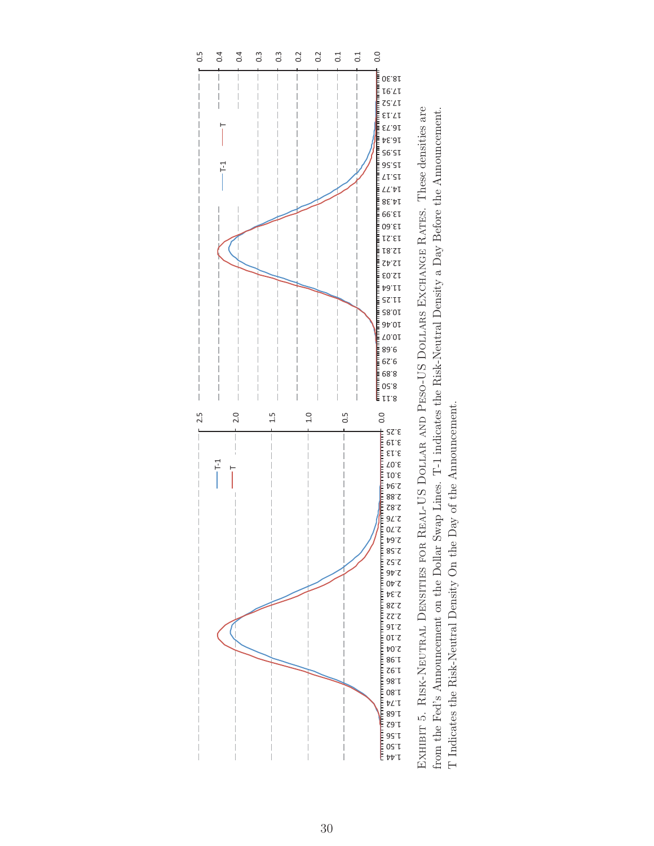

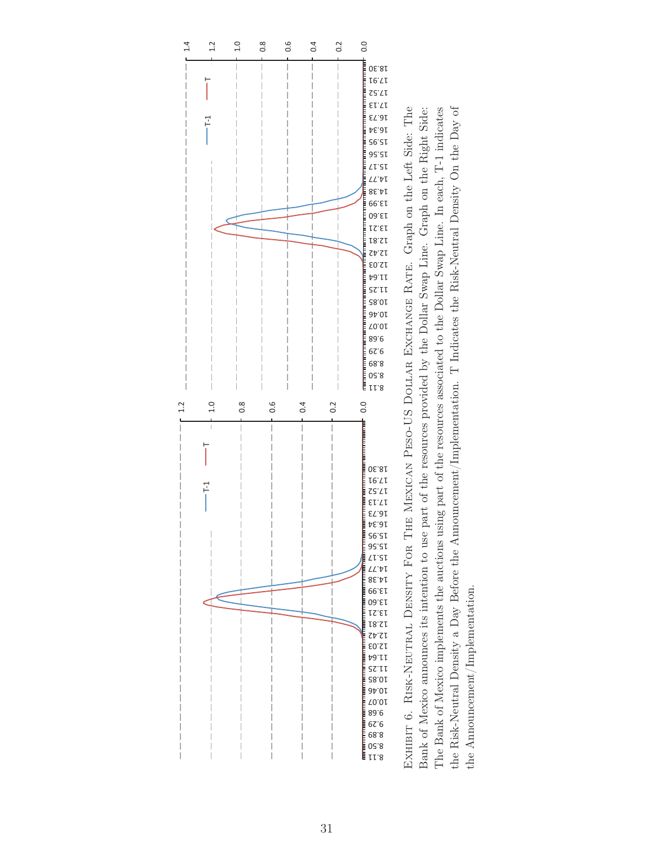